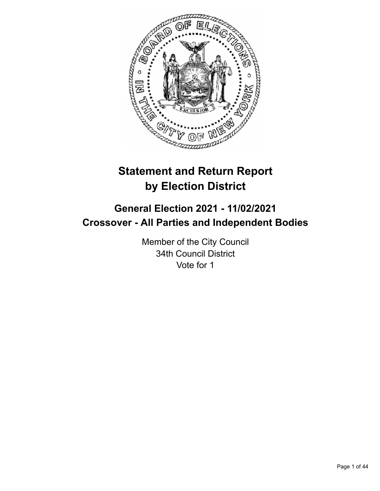

# **Statement and Return Report by Election District**

# **General Election 2021 - 11/02/2021 Crossover - All Parties and Independent Bodies**

Member of the City Council 34th Council District Vote for 1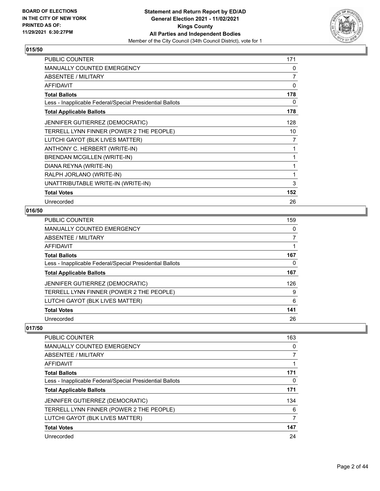

| PUBLIC COUNTER                                           | 171 |
|----------------------------------------------------------|-----|
| <b>MANUALLY COUNTED EMERGENCY</b>                        | 0   |
| <b>ABSENTEE / MILITARY</b>                               | 7   |
| AFFIDAVIT                                                | 0   |
| <b>Total Ballots</b>                                     | 178 |
| Less - Inapplicable Federal/Special Presidential Ballots | 0   |
| <b>Total Applicable Ballots</b>                          | 178 |
| JENNIFER GUTIERREZ (DEMOCRATIC)                          | 128 |
| TERRELL LYNN FINNER (POWER 2 THE PEOPLE)                 | 10  |
| LUTCHI GAYOT (BLK LIVES MATTER)                          | 7   |
| ANTHONY C. HERBERT (WRITE-IN)                            | 1   |
| BRENDAN MCGILLEN (WRITE-IN)                              | 1   |
| DIANA REYNA (WRITE-IN)                                   | 1   |
| RALPH JORLANO (WRITE-IN)                                 | 1   |
| UNATTRIBUTABLE WRITE-IN (WRITE-IN)                       | 3   |
| <b>Total Votes</b>                                       | 152 |
| Unrecorded                                               | 26  |

## **016/50**

| PUBLIC COUNTER                                           | 159 |
|----------------------------------------------------------|-----|
| <b>MANUALLY COUNTED EMERGENCY</b>                        | 0   |
| ABSENTEE / MILITARY                                      |     |
| AFFIDAVIT                                                |     |
| <b>Total Ballots</b>                                     | 167 |
| Less - Inapplicable Federal/Special Presidential Ballots | 0   |
| <b>Total Applicable Ballots</b>                          | 167 |
| <b>JENNIFER GUTIERREZ (DEMOCRATIC)</b>                   | 126 |
| TERRELL LYNN FINNER (POWER 2 THE PEOPLE)                 | 9   |
| LUTCHI GAYOT (BLK LIVES MATTER)                          | 6   |
| <b>Total Votes</b>                                       | 141 |
| Unrecorded                                               | 26  |

| PUBLIC COUNTER                                           | 163 |
|----------------------------------------------------------|-----|
|                                                          |     |
| <b>MANUALLY COUNTED EMERGENCY</b>                        | 0   |
| ABSENTEE / MILITARY                                      |     |
| AFFIDAVIT                                                |     |
| <b>Total Ballots</b>                                     | 171 |
| Less - Inapplicable Federal/Special Presidential Ballots | 0   |
| <b>Total Applicable Ballots</b>                          | 171 |
| <b>JENNIFER GUTIERREZ (DEMOCRATIC)</b>                   | 134 |
| TERRELL LYNN FINNER (POWER 2 THE PEOPLE)                 | 6   |
| LUTCHI GAYOT (BLK LIVES MATTER)                          | 7   |
| <b>Total Votes</b>                                       | 147 |
| Unrecorded                                               | 24  |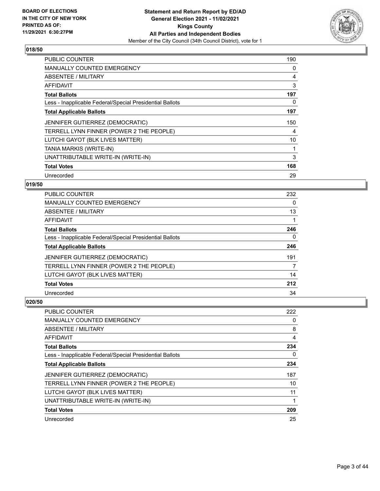

| <b>PUBLIC COUNTER</b>                                    | 190            |
|----------------------------------------------------------|----------------|
| <b>MANUALLY COUNTED EMERGENCY</b>                        | 0              |
| ABSENTEE / MILITARY                                      | $\overline{4}$ |
| AFFIDAVIT                                                | 3              |
| <b>Total Ballots</b>                                     | 197            |
| Less - Inapplicable Federal/Special Presidential Ballots | 0              |
| <b>Total Applicable Ballots</b>                          | 197            |
| JENNIFER GUTIERREZ (DEMOCRATIC)                          | 150            |
| TERRELL LYNN FINNER (POWER 2 THE PEOPLE)                 | 4              |
| LUTCHI GAYOT (BLK LIVES MATTER)                          | 10             |
| TANIA MARKIS (WRITE-IN)                                  | 1              |
| UNATTRIBUTABLE WRITE-IN (WRITE-IN)                       | 3              |
| <b>Total Votes</b>                                       | 168            |
| Unrecorded                                               | 29             |

## **019/50**

| <b>PUBLIC COUNTER</b>                                    | 232 |
|----------------------------------------------------------|-----|
| <b>MANUALLY COUNTED EMERGENCY</b>                        | 0   |
| ABSENTEE / MILITARY                                      | 13  |
| AFFIDAVIT                                                |     |
| <b>Total Ballots</b>                                     | 246 |
| Less - Inapplicable Federal/Special Presidential Ballots | 0   |
| <b>Total Applicable Ballots</b>                          | 246 |
| <b>JENNIFER GUTIERREZ (DEMOCRATIC)</b>                   | 191 |
| TERRELL LYNN FINNER (POWER 2 THE PEOPLE)                 | 7   |
| LUTCHI GAYOT (BLK LIVES MATTER)                          | 14  |
| <b>Total Votes</b>                                       | 212 |
| Unrecorded                                               | 34  |

| PUBLIC COUNTER                                           | 222 |
|----------------------------------------------------------|-----|
| <b>MANUALLY COUNTED EMERGENCY</b>                        | 0   |
| ABSENTEE / MILITARY                                      | 8   |
| AFFIDAVIT                                                | 4   |
| <b>Total Ballots</b>                                     | 234 |
| Less - Inapplicable Federal/Special Presidential Ballots | 0   |
| <b>Total Applicable Ballots</b>                          | 234 |
| <b>JENNIFER GUTIERREZ (DEMOCRATIC)</b>                   | 187 |
| TERRELL LYNN FINNER (POWER 2 THE PEOPLE)                 | 10  |
| LUTCHI GAYOT (BLK LIVES MATTER)                          | 11  |
| UNATTRIBUTABLE WRITE-IN (WRITE-IN)                       | 1   |
| <b>Total Votes</b>                                       | 209 |
| Unrecorded                                               | 25  |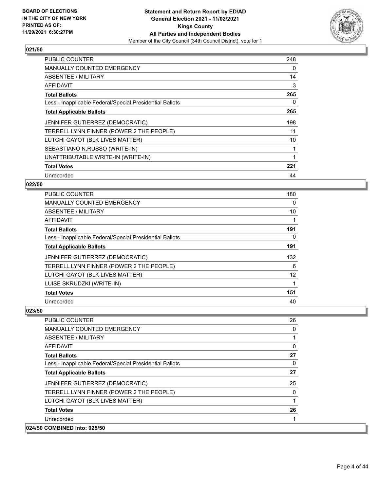

| PUBLIC COUNTER                                           | 248 |
|----------------------------------------------------------|-----|
| <b>MANUALLY COUNTED EMERGENCY</b>                        | 0   |
| ABSENTEE / MILITARY                                      | 14  |
| AFFIDAVIT                                                | 3   |
| <b>Total Ballots</b>                                     | 265 |
| Less - Inapplicable Federal/Special Presidential Ballots | 0   |
| <b>Total Applicable Ballots</b>                          | 265 |
| JENNIFER GUTIERREZ (DEMOCRATIC)                          | 198 |
| TERRELL LYNN FINNER (POWER 2 THE PEOPLE)                 | 11  |
| LUTCHI GAYOT (BLK LIVES MATTER)                          | 10  |
| SEBASTIANO N.RUSSO (WRITE-IN)                            | 1   |
| UNATTRIBUTABLE WRITE-IN (WRITE-IN)                       | 1   |
| <b>Total Votes</b>                                       | 221 |
| Unrecorded                                               | 44  |

## **022/50**

| <b>PUBLIC COUNTER</b>                                    | 180 |
|----------------------------------------------------------|-----|
| <b>MANUALLY COUNTED EMERGENCY</b>                        | 0   |
| ABSENTEE / MILITARY                                      | 10  |
| AFFIDAVIT                                                |     |
| <b>Total Ballots</b>                                     | 191 |
| Less - Inapplicable Federal/Special Presidential Ballots | 0   |
| <b>Total Applicable Ballots</b>                          | 191 |
| JENNIFER GUTIERREZ (DEMOCRATIC)                          | 132 |
| TERRELL LYNN FINNER (POWER 2 THE PEOPLE)                 | 6   |
| LUTCHI GAYOT (BLK LIVES MATTER)                          | 12  |
| LUISE SKRUDZKI (WRITE-IN)                                | 1   |
| <b>Total Votes</b>                                       | 151 |
| Unrecorded                                               | 40  |

| Unrecorded<br>024/50 COMBINED into: 025/50               |          |
|----------------------------------------------------------|----------|
|                                                          |          |
| <b>Total Votes</b>                                       | 26       |
| LUTCHI GAYOT (BLK LIVES MATTER)                          |          |
| TERRELL LYNN FINNER (POWER 2 THE PEOPLE)                 | 0        |
| <b>JENNIFER GUTIERREZ (DEMOCRATIC)</b>                   | 25       |
| <b>Total Applicable Ballots</b>                          | 27       |
| Less - Inapplicable Federal/Special Presidential Ballots | $\Omega$ |
| <b>Total Ballots</b>                                     | 27       |
| AFFIDAVIT                                                | 0        |
| ABSENTEE / MILITARY                                      |          |
| <b>MANUALLY COUNTED EMERGENCY</b>                        | 0        |
| <b>PUBLIC COUNTER</b>                                    | 26       |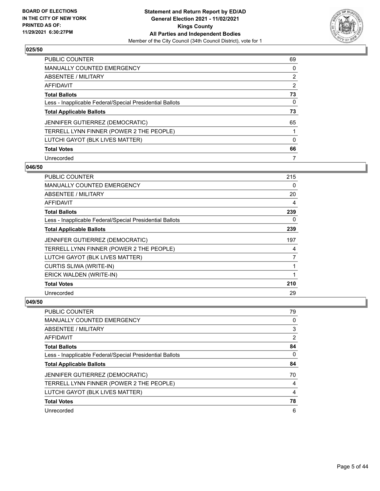

| PUBLIC COUNTER                                           | 69       |
|----------------------------------------------------------|----------|
| <b>MANUALLY COUNTED EMERGENCY</b>                        | $\Omega$ |
| ABSENTEE / MILITARY                                      | 2        |
| AFFIDAVIT                                                | 2        |
| <b>Total Ballots</b>                                     | 73       |
| Less - Inapplicable Federal/Special Presidential Ballots | 0        |
| <b>Total Applicable Ballots</b>                          | 73       |
| <b>JENNIFER GUTIERREZ (DEMOCRATIC)</b>                   | 65       |
| TERRELL LYNN FINNER (POWER 2 THE PEOPLE)                 |          |
|                                                          |          |
| LUTCHI GAYOT (BLK LIVES MATTER)                          | $\Omega$ |
| <b>Total Votes</b>                                       | 66       |

#### **046/50**

| PUBLIC COUNTER                                           | 215 |
|----------------------------------------------------------|-----|
| <b>MANUALLY COUNTED EMERGENCY</b>                        | 0   |
| ABSENTEE / MILITARY                                      | 20  |
| AFFIDAVIT                                                | 4   |
| <b>Total Ballots</b>                                     | 239 |
| Less - Inapplicable Federal/Special Presidential Ballots | 0   |
| <b>Total Applicable Ballots</b>                          | 239 |
| JENNIFER GUTIERREZ (DEMOCRATIC)                          | 197 |
| TERRELL LYNN FINNER (POWER 2 THE PEOPLE)                 | 4   |
| LUTCHI GAYOT (BLK LIVES MATTER)                          | 7   |
| CURTIS SLIWA (WRITE-IN)                                  | 1   |
| ERICK WALDEN (WRITE-IN)                                  | 1   |
| <b>Total Votes</b>                                       | 210 |
| Unrecorded                                               | 29  |

| PUBLIC COUNTER                                           | 79 |
|----------------------------------------------------------|----|
| <b>MANUALLY COUNTED EMERGENCY</b>                        | 0  |
| ABSENTEE / MILITARY                                      | 3  |
| AFFIDAVIT                                                | 2  |
| <b>Total Ballots</b>                                     | 84 |
| Less - Inapplicable Federal/Special Presidential Ballots | 0  |
| <b>Total Applicable Ballots</b>                          | 84 |
| JENNIFER GUTIERREZ (DEMOCRATIC)                          | 70 |
| TERRELL LYNN FINNER (POWER 2 THE PEOPLE)                 | 4  |
| LUTCHI GAYOT (BLK LIVES MATTER)                          | 4  |
| <b>Total Votes</b>                                       | 78 |
| Unrecorded                                               | 6  |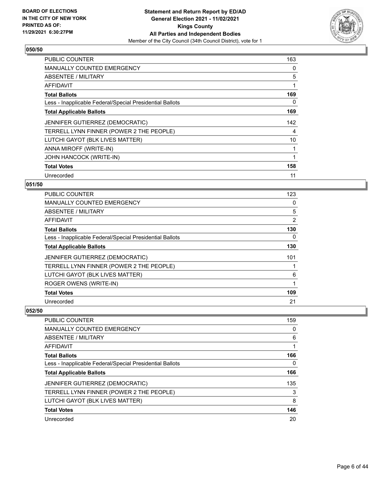

| <b>PUBLIC COUNTER</b>                                    | 163 |
|----------------------------------------------------------|-----|
| <b>MANUALLY COUNTED EMERGENCY</b>                        | 0   |
| ABSENTEE / MILITARY                                      | 5   |
| AFFIDAVIT                                                | 1   |
| <b>Total Ballots</b>                                     | 169 |
| Less - Inapplicable Federal/Special Presidential Ballots | 0   |
| <b>Total Applicable Ballots</b>                          | 169 |
| JENNIFER GUTIERREZ (DEMOCRATIC)                          | 142 |
| TERRELL LYNN FINNER (POWER 2 THE PEOPLE)                 | 4   |
| LUTCHI GAYOT (BLK LIVES MATTER)                          | 10  |
| ANNA MIROFF (WRITE-IN)                                   | 1   |
| JOHN HANCOCK (WRITE-IN)                                  | 1   |
| <b>Total Votes</b>                                       | 158 |
| Unrecorded                                               | 11  |

## **051/50**

| PUBLIC COUNTER                                           | 123 |
|----------------------------------------------------------|-----|
| <b>MANUALLY COUNTED EMERGENCY</b>                        | 0   |
| ABSENTEE / MILITARY                                      | 5   |
| AFFIDAVIT                                                | 2   |
| <b>Total Ballots</b>                                     | 130 |
| Less - Inapplicable Federal/Special Presidential Ballots | 0   |
| <b>Total Applicable Ballots</b>                          | 130 |
| JENNIFER GUTIERREZ (DEMOCRATIC)                          | 101 |
| TERRELL LYNN FINNER (POWER 2 THE PEOPLE)                 |     |
| LUTCHI GAYOT (BLK LIVES MATTER)                          | 6   |
| ROGER OWENS (WRITE-IN)                                   | 1   |
| <b>Total Votes</b>                                       | 109 |
| Unrecorded                                               | 21  |

| <b>PUBLIC COUNTER</b>                                    | 159 |
|----------------------------------------------------------|-----|
| <b>MANUALLY COUNTED EMERGENCY</b>                        | 0   |
| <b>ABSENTEE / MILITARY</b>                               | 6   |
| AFFIDAVIT                                                |     |
| <b>Total Ballots</b>                                     | 166 |
| Less - Inapplicable Federal/Special Presidential Ballots | 0   |
| <b>Total Applicable Ballots</b>                          | 166 |
| JENNIFER GUTIERREZ (DEMOCRATIC)                          | 135 |
| TERRELL LYNN FINNER (POWER 2 THE PEOPLE)                 | 3   |
| LUTCHI GAYOT (BLK LIVES MATTER)                          | 8   |
| <b>Total Votes</b>                                       | 146 |
| Unrecorded                                               | 20  |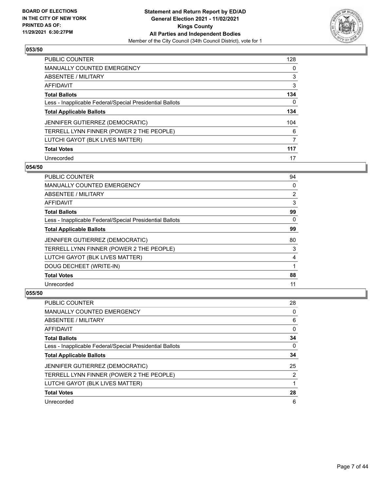

| <b>PUBLIC COUNTER</b>                                    | 128 |
|----------------------------------------------------------|-----|
| <b>MANUALLY COUNTED EMERGENCY</b>                        | 0   |
| ABSENTEE / MILITARY                                      | 3   |
| AFFIDAVIT                                                | 3   |
| <b>Total Ballots</b>                                     | 134 |
| Less - Inapplicable Federal/Special Presidential Ballots | 0   |
| <b>Total Applicable Ballots</b>                          | 134 |
| JENNIFER GUTIERREZ (DEMOCRATIC)                          | 104 |
| TERRELL LYNN FINNER (POWER 2 THE PEOPLE)                 | 6   |
| LUTCHI GAYOT (BLK LIVES MATTER)                          | 7   |
| <b>Total Votes</b>                                       | 117 |
| Unrecorded                                               | 17  |

#### **054/50**

| PUBLIC COUNTER                                           | 94             |
|----------------------------------------------------------|----------------|
| <b>MANUALLY COUNTED EMERGENCY</b>                        | $\Omega$       |
| ABSENTEE / MILITARY                                      | $\overline{2}$ |
| AFFIDAVIT                                                | 3              |
| <b>Total Ballots</b>                                     | 99             |
| Less - Inapplicable Federal/Special Presidential Ballots | $\Omega$       |
| <b>Total Applicable Ballots</b>                          | 99             |
| JENNIFER GUTIERREZ (DEMOCRATIC)                          | 80             |
| TERRELL LYNN FINNER (POWER 2 THE PEOPLE)                 | 3              |
| LUTCHI GAYOT (BLK LIVES MATTER)                          | 4              |
| DOUG DECHEET (WRITE-IN)                                  |                |
| <b>Total Votes</b>                                       | 88             |
| Unrecorded                                               | 11             |

| PUBLIC COUNTER                                           | 28 |
|----------------------------------------------------------|----|
| <b>MANUALLY COUNTED EMERGENCY</b>                        | 0  |
| ABSENTEE / MILITARY                                      | 6  |
| AFFIDAVIT                                                | 0  |
| <b>Total Ballots</b>                                     | 34 |
| Less - Inapplicable Federal/Special Presidential Ballots | 0  |
| <b>Total Applicable Ballots</b>                          | 34 |
| JENNIFER GUTIERREZ (DEMOCRATIC)                          | 25 |
| TERRELL LYNN FINNER (POWER 2 THE PEOPLE)                 | 2  |
| LUTCHI GAYOT (BLK LIVES MATTER)                          |    |
| <b>Total Votes</b>                                       | 28 |
| Unrecorded                                               | 6  |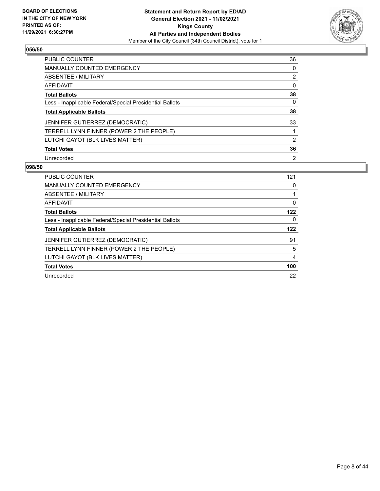

| <b>PUBLIC COUNTER</b>                                    | 36             |
|----------------------------------------------------------|----------------|
| <b>MANUALLY COUNTED EMERGENCY</b>                        | $\Omega$       |
| ABSENTEE / MILITARY                                      | 2              |
| AFFIDAVIT                                                | 0              |
| <b>Total Ballots</b>                                     | 38             |
| Less - Inapplicable Federal/Special Presidential Ballots | 0              |
| <b>Total Applicable Ballots</b>                          | 38             |
| JENNIFER GUTIERREZ (DEMOCRATIC)                          | 33             |
| TERRELL LYNN FINNER (POWER 2 THE PEOPLE)                 |                |
| LUTCHI GAYOT (BLK LIVES MATTER)                          | 2              |
| <b>Total Votes</b>                                       | 36             |
| Unrecorded                                               | $\overline{2}$ |

| <b>PUBLIC COUNTER</b>                                    | 121 |
|----------------------------------------------------------|-----|
| <b>MANUALLY COUNTED EMERGENCY</b>                        | 0   |
| ABSENTEE / MILITARY                                      |     |
| AFFIDAVIT                                                | 0   |
| <b>Total Ballots</b>                                     | 122 |
| Less - Inapplicable Federal/Special Presidential Ballots | 0   |
|                                                          |     |
| <b>Total Applicable Ballots</b>                          | 122 |
| <b>JENNIFER GUTIERREZ (DEMOCRATIC)</b>                   | 91  |
| TERRELL LYNN FINNER (POWER 2 THE PEOPLE)                 | 5   |
| LUTCHI GAYOT (BLK LIVES MATTER)                          | 4   |
| <b>Total Votes</b>                                       | 100 |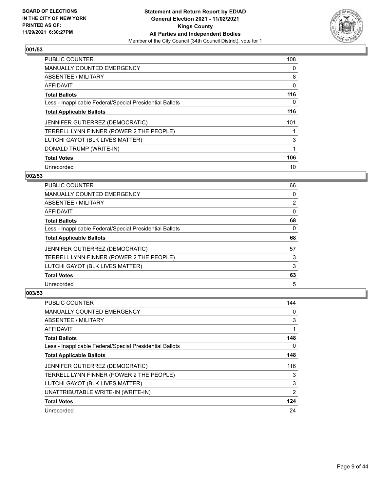

| <b>PUBLIC COUNTER</b>                                    | 108 |
|----------------------------------------------------------|-----|
| <b>MANUALLY COUNTED EMERGENCY</b>                        | 0   |
| ABSENTEE / MILITARY                                      | 8   |
| AFFIDAVIT                                                | 0   |
| <b>Total Ballots</b>                                     | 116 |
| Less - Inapplicable Federal/Special Presidential Ballots | 0   |
| <b>Total Applicable Ballots</b>                          | 116 |
| JENNIFER GUTIERREZ (DEMOCRATIC)                          | 101 |
| TERRELL LYNN FINNER (POWER 2 THE PEOPLE)                 |     |
| LUTCHI GAYOT (BLK LIVES MATTER)                          | 3   |
| DONALD TRUMP (WRITE-IN)                                  |     |
| <b>Total Votes</b>                                       | 106 |
| Unrecorded                                               | 10  |

# **002/53**

| <b>PUBLIC COUNTER</b>                                    | 66             |
|----------------------------------------------------------|----------------|
| <b>MANUALLY COUNTED EMERGENCY</b>                        | 0              |
| ABSENTEE / MILITARY                                      | $\overline{2}$ |
| AFFIDAVIT                                                | $\Omega$       |
| <b>Total Ballots</b>                                     | 68             |
| Less - Inapplicable Federal/Special Presidential Ballots | $\Omega$       |
| <b>Total Applicable Ballots</b>                          | 68             |
| <b>JENNIFER GUTIERREZ (DEMOCRATIC)</b>                   | 57             |
| TERRELL LYNN FINNER (POWER 2 THE PEOPLE)                 | 3              |
| LUTCHI GAYOT (BLK LIVES MATTER)                          | 3              |
| <b>Total Votes</b>                                       | 63             |
| Unrecorded                                               | 5              |

| <b>PUBLIC COUNTER</b>                                    | 144            |
|----------------------------------------------------------|----------------|
| <b>MANUALLY COUNTED EMERGENCY</b>                        | 0              |
| ABSENTEE / MILITARY                                      | 3              |
| AFFIDAVIT                                                |                |
| <b>Total Ballots</b>                                     | 148            |
| Less - Inapplicable Federal/Special Presidential Ballots | 0              |
| <b>Total Applicable Ballots</b>                          | 148            |
| <b>JENNIFER GUTIERREZ (DEMOCRATIC)</b>                   | 116            |
| TERRELL LYNN FINNER (POWER 2 THE PEOPLE)                 | 3              |
| LUTCHI GAYOT (BLK LIVES MATTER)                          | 3              |
| UNATTRIBUTABLE WRITE-IN (WRITE-IN)                       | $\overline{2}$ |
| <b>Total Votes</b>                                       | 124            |
| Unrecorded                                               | 24             |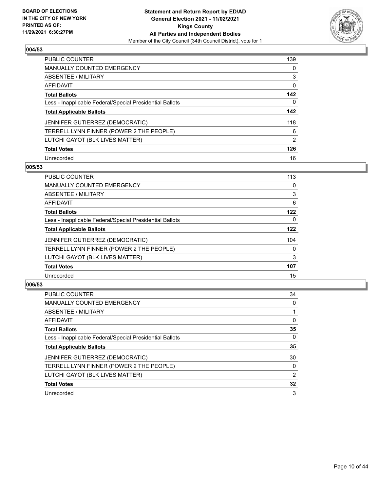

| <b>PUBLIC COUNTER</b>                                    | 139           |
|----------------------------------------------------------|---------------|
| <b>MANUALLY COUNTED EMERGENCY</b>                        | 0             |
| ABSENTEE / MILITARY                                      | 3             |
| AFFIDAVIT                                                | 0             |
| <b>Total Ballots</b>                                     | 142           |
| Less - Inapplicable Federal/Special Presidential Ballots | 0             |
| <b>Total Applicable Ballots</b>                          | 142           |
| JENNIFER GUTIERREZ (DEMOCRATIC)                          | 118           |
| TERRELL LYNN FINNER (POWER 2 THE PEOPLE)                 | 6             |
| LUTCHI GAYOT (BLK LIVES MATTER)                          | $\mathcal{P}$ |
| <b>Total Votes</b>                                       | 126           |
| Unrecorded                                               | 16            |

#### **005/53**

| <b>PUBLIC COUNTER</b>                                    | 113      |
|----------------------------------------------------------|----------|
| <b>MANUALLY COUNTED EMERGENCY</b>                        | 0        |
| ABSENTEE / MILITARY                                      | 3        |
| <b>AFFIDAVIT</b>                                         | 6        |
| <b>Total Ballots</b>                                     | 122      |
| Less - Inapplicable Federal/Special Presidential Ballots | $\Omega$ |
| <b>Total Applicable Ballots</b>                          | 122      |
| JENNIFER GUTIERREZ (DEMOCRATIC)                          | 104      |
| TERRELL LYNN FINNER (POWER 2 THE PEOPLE)                 | $\Omega$ |
| LUTCHI GAYOT (BLK LIVES MATTER)                          | 3        |
| <b>Total Votes</b>                                       | 107      |
| Unrecorded                                               | 15       |

| <b>PUBLIC COUNTER</b>                                    | 34       |
|----------------------------------------------------------|----------|
| <b>MANUALLY COUNTED EMERGENCY</b>                        | $\Omega$ |
| ABSENTEE / MILITARY                                      |          |
| AFFIDAVIT                                                | $\Omega$ |
| <b>Total Ballots</b>                                     | 35       |
| Less - Inapplicable Federal/Special Presidential Ballots | 0        |
| <b>Total Applicable Ballots</b>                          | 35       |
| JENNIFER GUTIERREZ (DEMOCRATIC)                          | 30       |
| TERRELL LYNN FINNER (POWER 2 THE PEOPLE)                 | 0        |
| LUTCHI GAYOT (BLK LIVES MATTER)                          | 2        |
| <b>Total Votes</b>                                       | 32       |
| Unrecorded                                               | 3        |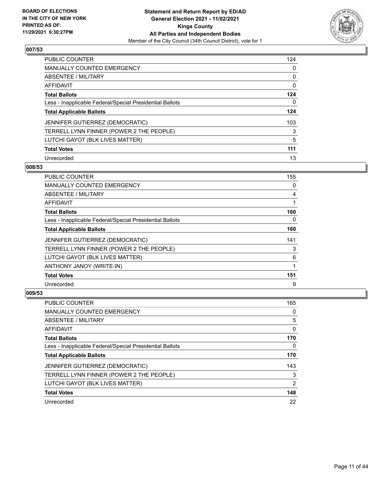

| PUBLIC COUNTER                                           | 124 |
|----------------------------------------------------------|-----|
| <b>MANUALLY COUNTED EMERGENCY</b>                        | 0   |
| ABSENTEE / MILITARY                                      | 0   |
| AFFIDAVIT                                                | 0   |
| <b>Total Ballots</b>                                     | 124 |
| Less - Inapplicable Federal/Special Presidential Ballots | 0   |
| <b>Total Applicable Ballots</b>                          | 124 |
| JENNIFER GUTIERREZ (DEMOCRATIC)                          | 103 |
| TERRELL LYNN FINNER (POWER 2 THE PEOPLE)                 | 3   |
| LUTCHI GAYOT (BLK LIVES MATTER)                          | 5   |
| <b>Total Votes</b>                                       | 111 |
| Unrecorded                                               | 13  |

#### **008/53**

| <b>PUBLIC COUNTER</b>                                    | 155      |
|----------------------------------------------------------|----------|
| <b>MANUALLY COUNTED EMERGENCY</b>                        | 0        |
| ABSENTEE / MILITARY                                      | 4        |
| <b>AFFIDAVIT</b>                                         | 1        |
| <b>Total Ballots</b>                                     | 160      |
| Less - Inapplicable Federal/Special Presidential Ballots | $\Omega$ |
| <b>Total Applicable Ballots</b>                          | 160      |
| JENNIFER GUTIERREZ (DEMOCRATIC)                          | 141      |
| TERRELL LYNN FINNER (POWER 2 THE PEOPLE)                 | 3        |
| LUTCHI GAYOT (BLK LIVES MATTER)                          | 6        |
| ANTHONY JANOY (WRITE-IN)                                 | 1        |
| <b>Total Votes</b>                                       | 151      |
| Unrecorded                                               | 9        |

| <b>PUBLIC COUNTER</b>                                    | 165           |
|----------------------------------------------------------|---------------|
| <b>MANUALLY COUNTED EMERGENCY</b>                        | 0             |
| ABSENTEE / MILITARY                                      | 5             |
| AFFIDAVIT                                                | 0             |
| <b>Total Ballots</b>                                     | 170           |
| Less - Inapplicable Federal/Special Presidential Ballots | 0             |
| <b>Total Applicable Ballots</b>                          | 170           |
| JENNIFER GUTIERREZ (DEMOCRATIC)                          | 143           |
| TERRELL LYNN FINNER (POWER 2 THE PEOPLE)                 | 3             |
|                                                          | $\mathcal{P}$ |
| LUTCHI GAYOT (BLK LIVES MATTER)                          |               |
| <b>Total Votes</b>                                       | 148           |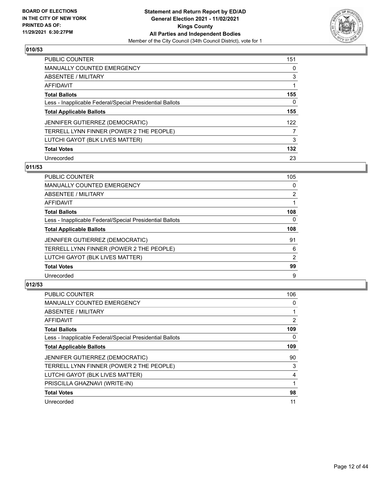

| <b>PUBLIC COUNTER</b>                                    | 151 |
|----------------------------------------------------------|-----|
| <b>MANUALLY COUNTED EMERGENCY</b>                        | 0   |
| ABSENTEE / MILITARY                                      | 3   |
| AFFIDAVIT                                                |     |
| <b>Total Ballots</b>                                     | 155 |
| Less - Inapplicable Federal/Special Presidential Ballots | 0   |
| <b>Total Applicable Ballots</b>                          | 155 |
| <b>JENNIFER GUTIERREZ (DEMOCRATIC)</b>                   | 122 |
| TERRELL LYNN FINNER (POWER 2 THE PEOPLE)                 | 7   |
| LUTCHI GAYOT (BLK LIVES MATTER)                          | 3   |
| <b>Total Votes</b>                                       | 132 |
| Unrecorded                                               | 23  |

### **011/53**

| <b>PUBLIC COUNTER</b>                                    | 105 |
|----------------------------------------------------------|-----|
| <b>MANUALLY COUNTED EMERGENCY</b>                        | 0   |
| ABSENTEE / MILITARY                                      | 2   |
| <b>AFFIDAVIT</b>                                         |     |
| <b>Total Ballots</b>                                     | 108 |
| Less - Inapplicable Federal/Special Presidential Ballots | 0   |
| <b>Total Applicable Ballots</b>                          | 108 |
| JENNIFER GUTIERREZ (DEMOCRATIC)                          | 91  |
| TERRELL LYNN FINNER (POWER 2 THE PEOPLE)                 | 6   |
| LUTCHI GAYOT (BLK LIVES MATTER)                          | 2   |
| <b>Total Votes</b>                                       | 99  |
| Unrecorded                                               | 9   |

| <b>PUBLIC COUNTER</b>                                    | 106 |
|----------------------------------------------------------|-----|
| <b>MANUALLY COUNTED EMERGENCY</b>                        | 0   |
| ABSENTEE / MILITARY                                      | 1   |
| AFFIDAVIT                                                | 2   |
| <b>Total Ballots</b>                                     | 109 |
| Less - Inapplicable Federal/Special Presidential Ballots | 0   |
| <b>Total Applicable Ballots</b>                          | 109 |
| <b>JENNIFER GUTIERREZ (DEMOCRATIC)</b>                   | 90  |
| TERRELL LYNN FINNER (POWER 2 THE PEOPLE)                 | 3   |
| LUTCHI GAYOT (BLK LIVES MATTER)                          | 4   |
| PRISCILLA GHAZNAVI (WRITE-IN)                            |     |
| <b>Total Votes</b>                                       | 98  |
| Unrecorded                                               | 11  |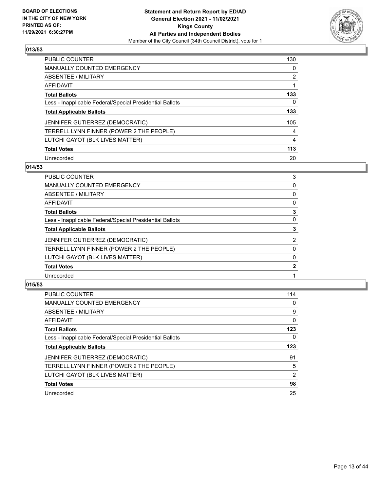

| <b>PUBLIC COUNTER</b>                                    | 130            |
|----------------------------------------------------------|----------------|
| <b>MANUALLY COUNTED EMERGENCY</b>                        | $\Omega$       |
| <b>ABSENTEE / MILITARY</b>                               | $\overline{2}$ |
| AFFIDAVIT                                                |                |
| <b>Total Ballots</b>                                     | 133            |
| Less - Inapplicable Federal/Special Presidential Ballots | 0              |
| <b>Total Applicable Ballots</b>                          | 133            |
| JENNIFER GUTIERREZ (DEMOCRATIC)                          | 105            |
| TERRELL LYNN FINNER (POWER 2 THE PEOPLE)                 | 4              |
| LUTCHI GAYOT (BLK LIVES MATTER)                          | 4              |
| <b>Total Votes</b>                                       | 113            |
| Unrecorded                                               | 20             |

# **014/53**

| PUBLIC COUNTER                                           | 3              |
|----------------------------------------------------------|----------------|
| <b>MANUALLY COUNTED EMERGENCY</b>                        | 0              |
| ABSENTEE / MILITARY                                      | 0              |
| AFFIDAVIT                                                | 0              |
| <b>Total Ballots</b>                                     | 3              |
| Less - Inapplicable Federal/Special Presidential Ballots | $\Omega$       |
| <b>Total Applicable Ballots</b>                          | 3              |
| JENNIFER GUTIERREZ (DEMOCRATIC)                          | $\overline{2}$ |
| TERRELL LYNN FINNER (POWER 2 THE PEOPLE)                 | 0              |
| LUTCHI GAYOT (BLK LIVES MATTER)                          | 0              |
| <b>Total Votes</b>                                       | $\mathbf{2}$   |
| Unrecorded                                               |                |
|                                                          |                |

| <b>PUBLIC COUNTER</b>                                    | 114      |
|----------------------------------------------------------|----------|
| <b>MANUALLY COUNTED EMERGENCY</b>                        | 0        |
| <b>ABSENTEE / MILITARY</b>                               | 9        |
| <b>AFFIDAVIT</b>                                         | $\Omega$ |
| <b>Total Ballots</b>                                     | 123      |
| Less - Inapplicable Federal/Special Presidential Ballots | 0        |
| <b>Total Applicable Ballots</b>                          | 123      |
| JENNIFER GUTIERREZ (DEMOCRATIC)                          | 91       |
| TERRELL LYNN FINNER (POWER 2 THE PEOPLE)                 | 5        |
| LUTCHI GAYOT (BLK LIVES MATTER)                          | 2        |
| <b>Total Votes</b>                                       | 98       |
| Unrecorded                                               | 25       |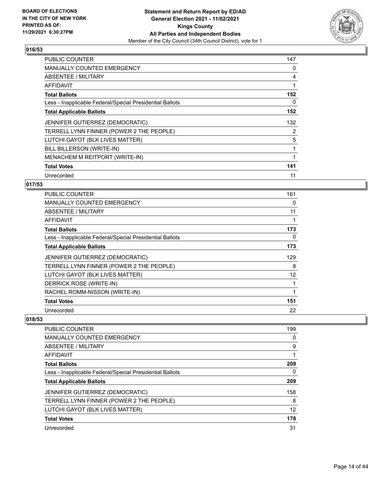

| <b>PUBLIC COUNTER</b>                                    | 147 |
|----------------------------------------------------------|-----|
| <b>MANUALLY COUNTED EMERGENCY</b>                        | 0   |
| ABSENTEE / MILITARY                                      | 4   |
| AFFIDAVIT                                                |     |
| <b>Total Ballots</b>                                     | 152 |
| Less - Inapplicable Federal/Special Presidential Ballots | 0   |
| <b>Total Applicable Ballots</b>                          | 152 |
| JENNIFER GUTIERREZ (DEMOCRATIC)                          | 132 |
| TERRELL LYNN FINNER (POWER 2 THE PEOPLE)                 | 2   |
| LUTCHI GAYOT (BLK LIVES MATTER)                          | 5   |
| BILL BILLERSON (WRITE-IN)                                | 1   |
| MENACHEM M REITPORT (WRITE-IN)                           | 1   |
| <b>Total Votes</b>                                       | 141 |
| Unrecorded                                               | 11  |

## **017/53**

| <b>PUBLIC COUNTER</b>                                    | 161 |
|----------------------------------------------------------|-----|
| MANUALLY COUNTED EMERGENCY                               | 0   |
| ABSENTEE / MILITARY                                      | 11  |
| AFFIDAVIT                                                |     |
| <b>Total Ballots</b>                                     | 173 |
| Less - Inapplicable Federal/Special Presidential Ballots | 0   |
| <b>Total Applicable Ballots</b>                          | 173 |
| JENNIFER GUTIERREZ (DEMOCRATIC)                          | 129 |
| TERRELL LYNN FINNER (POWER 2 THE PEOPLE)                 | 8   |
| LUTCHI GAYOT (BLK LIVES MATTER)                          | 12  |
| DERRICK ROSE (WRITE-IN)                                  |     |
| RACHEL ROMM-NISSON (WRITE-IN)                            |     |
| <b>Total Votes</b>                                       | 151 |
| Unrecorded                                               | 22  |

| PUBLIC COUNTER                                           | 199 |
|----------------------------------------------------------|-----|
| <b>MANUALLY COUNTED EMERGENCY</b>                        | 0   |
| ABSENTEE / MILITARY                                      | 9   |
| AFFIDAVIT                                                |     |
| <b>Total Ballots</b>                                     | 209 |
| Less - Inapplicable Federal/Special Presidential Ballots | 0   |
| <b>Total Applicable Ballots</b>                          | 209 |
| JENNIFER GUTIERREZ (DEMOCRATIC)                          | 158 |
| TERRELL LYNN FINNER (POWER 2 THE PEOPLE)                 | 8   |
| LUTCHI GAYOT (BLK LIVES MATTER)                          | 12  |
| <b>Total Votes</b>                                       | 178 |
| Unrecorded                                               | 31  |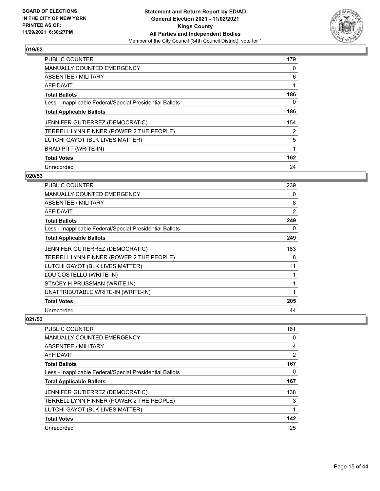

| <b>PUBLIC COUNTER</b>                                    | 179      |
|----------------------------------------------------------|----------|
| MANUALLY COUNTED EMERGENCY                               | 0        |
| ABSENTEE / MILITARY                                      | 6        |
| AFFIDAVIT                                                |          |
| <b>Total Ballots</b>                                     | 186      |
| Less - Inapplicable Federal/Special Presidential Ballots | $\Omega$ |
| <b>Total Applicable Ballots</b>                          | 186      |
| JENNIFER GUTIERREZ (DEMOCRATIC)                          | 154      |
| TERRELL LYNN FINNER (POWER 2 THE PEOPLE)                 | 2        |
| LUTCHI GAYOT (BLK LIVES MATTER)                          | 5        |
| <b>BRAD PITT (WRITE-IN)</b>                              | 1        |
| <b>Total Votes</b>                                       | 162      |
| Unrecorded                                               | 24       |

#### **020/53**

| <b>PUBLIC COUNTER</b>                                    | 239            |
|----------------------------------------------------------|----------------|
| MANUALLY COUNTED EMERGENCY                               | 0              |
| ABSENTEE / MILITARY                                      | 8              |
| <b>AFFIDAVIT</b>                                         | $\overline{2}$ |
| <b>Total Ballots</b>                                     | 249            |
| Less - Inapplicable Federal/Special Presidential Ballots | 0              |
| <b>Total Applicable Ballots</b>                          | 249            |
| JENNIFER GUTIERREZ (DEMOCRATIC)                          | 183            |
| TERRELL LYNN FINNER (POWER 2 THE PEOPLE)                 | 8              |
| LUTCHI GAYOT (BLK LIVES MATTER)                          | 11             |
| LOU COSTELLO (WRITE-IN)                                  | 1              |
| STACEY H PRUSSMAN (WRITE-IN)                             |                |
| UNATTRIBUTABLE WRITE-IN (WRITE-IN)                       | 1              |
| <b>Total Votes</b>                                       | 205            |
| Unrecorded                                               | 44             |

| <b>PUBLIC COUNTER</b>                                    | 161 |
|----------------------------------------------------------|-----|
| <b>MANUALLY COUNTED EMERGENCY</b>                        | 0   |
| ABSENTEE / MILITARY                                      | 4   |
| AFFIDAVIT                                                | 2   |
| <b>Total Ballots</b>                                     | 167 |
| Less - Inapplicable Federal/Special Presidential Ballots | 0   |
| <b>Total Applicable Ballots</b>                          | 167 |
| <b>JENNIFER GUTIERREZ (DEMOCRATIC)</b>                   | 138 |
| TERRELL LYNN FINNER (POWER 2 THE PEOPLE)                 | 3   |
| LUTCHI GAYOT (BLK LIVES MATTER)                          |     |
| <b>Total Votes</b>                                       | 142 |
| Unrecorded                                               | 25  |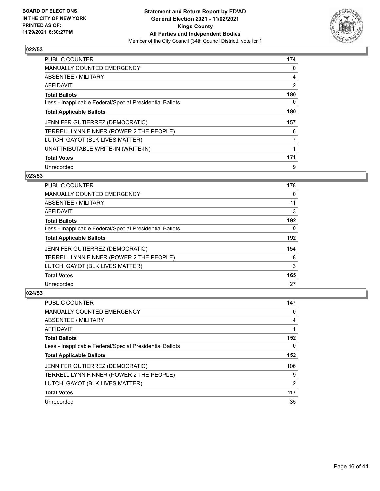

| <b>PUBLIC COUNTER</b>                                    | 174 |
|----------------------------------------------------------|-----|
| <b>MANUALLY COUNTED EMERGENCY</b>                        | 0   |
| ABSENTEE / MILITARY                                      | 4   |
| AFFIDAVIT                                                | 2   |
| <b>Total Ballots</b>                                     | 180 |
| Less - Inapplicable Federal/Special Presidential Ballots | 0   |
| <b>Total Applicable Ballots</b>                          | 180 |
| JENNIFER GUTIERREZ (DEMOCRATIC)                          | 157 |
| TERRELL LYNN FINNER (POWER 2 THE PEOPLE)                 | 6   |
| LUTCHI GAYOT (BLK LIVES MATTER)                          | 7   |
| UNATTRIBUTABLE WRITE-IN (WRITE-IN)                       |     |
| <b>Total Votes</b>                                       | 171 |
| Unrecorded                                               | 9   |

## **023/53**

| <b>PUBLIC COUNTER</b>                                    | 178      |
|----------------------------------------------------------|----------|
| MANUALLY COUNTED EMERGENCY                               | $\Omega$ |
| ABSENTEE / MILITARY                                      | 11       |
| AFFIDAVIT                                                | 3        |
| <b>Total Ballots</b>                                     | 192      |
| Less - Inapplicable Federal/Special Presidential Ballots | $\Omega$ |
| <b>Total Applicable Ballots</b>                          | 192      |
| <b>JENNIFER GUTIERREZ (DEMOCRATIC)</b>                   | 154      |
| TERRELL LYNN FINNER (POWER 2 THE PEOPLE)                 | 8        |
| LUTCHI GAYOT (BLK LIVES MATTER)                          | 3        |
| <b>Total Votes</b>                                       | 165      |
| Unrecorded                                               | 27       |

| PUBLIC COUNTER                                           | 147            |
|----------------------------------------------------------|----------------|
| MANUALLY COUNTED EMERGENCY                               | 0              |
| ABSENTEE / MILITARY                                      | 4              |
| AFFIDAVIT                                                |                |
| <b>Total Ballots</b>                                     | 152            |
| Less - Inapplicable Federal/Special Presidential Ballots | 0              |
| <b>Total Applicable Ballots</b>                          | 152            |
| JENNIFER GUTIERREZ (DEMOCRATIC)                          | 106            |
| TERRELL LYNN FINNER (POWER 2 THE PEOPLE)                 | 9              |
| LUTCHI GAYOT (BLK LIVES MATTER)                          | $\overline{2}$ |
| <b>Total Votes</b>                                       | 117            |
| Unrecorded                                               | 35             |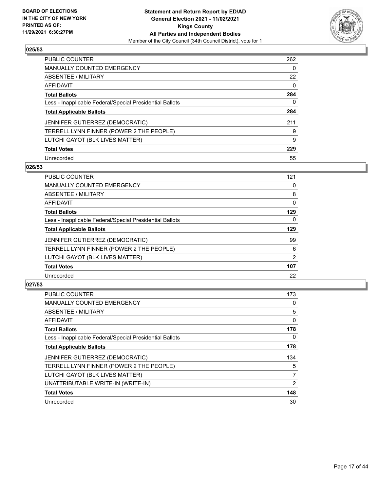

| <b>PUBLIC COUNTER</b>                                    | 262      |
|----------------------------------------------------------|----------|
| MANUALLY COUNTED EMERGENCY                               | $\Omega$ |
| <b>ABSENTEE / MILITARY</b>                               | 22       |
| AFFIDAVIT                                                | $\Omega$ |
| <b>Total Ballots</b>                                     | 284      |
| Less - Inapplicable Federal/Special Presidential Ballots | 0        |
| <b>Total Applicable Ballots</b>                          | 284      |
| <b>JENNIFER GUTIERREZ (DEMOCRATIC)</b>                   | 211      |
| TERRELL LYNN FINNER (POWER 2 THE PEOPLE)                 | 9        |
| LUTCHI GAYOT (BLK LIVES MATTER)                          | 9        |
| <b>Total Votes</b>                                       | 229      |
| Unrecorded                                               | 55       |

#### **026/53**

| <b>PUBLIC COUNTER</b>                                    | 121      |
|----------------------------------------------------------|----------|
| <b>MANUALLY COUNTED EMERGENCY</b>                        | 0        |
| ABSENTEE / MILITARY                                      | 8        |
| <b>AFFIDAVIT</b>                                         | $\Omega$ |
| <b>Total Ballots</b>                                     | 129      |
| Less - Inapplicable Federal/Special Presidential Ballots | $\Omega$ |
| <b>Total Applicable Ballots</b>                          | 129      |
| <b>JENNIFER GUTIERREZ (DEMOCRATIC)</b>                   | 99       |
| TERRELL LYNN FINNER (POWER 2 THE PEOPLE)                 | 6        |
| LUTCHI GAYOT (BLK LIVES MATTER)                          | 2        |
| <b>Total Votes</b>                                       | 107      |
| Unrecorded                                               | 22       |

| <b>PUBLIC COUNTER</b>                                    | 173            |
|----------------------------------------------------------|----------------|
| <b>MANUALLY COUNTED EMERGENCY</b>                        | 0              |
| ABSENTEE / MILITARY                                      | 5              |
| AFFIDAVIT                                                | 0              |
| <b>Total Ballots</b>                                     | 178            |
| Less - Inapplicable Federal/Special Presidential Ballots | 0              |
| <b>Total Applicable Ballots</b>                          | 178            |
| JENNIFER GUTIERREZ (DEMOCRATIC)                          | 134            |
| TERRELL LYNN FINNER (POWER 2 THE PEOPLE)                 | 5              |
| LUTCHI GAYOT (BLK LIVES MATTER)                          | 7              |
| UNATTRIBUTABLE WRITE-IN (WRITE-IN)                       | $\overline{2}$ |
| <b>Total Votes</b>                                       | 148            |
| Unrecorded                                               | 30             |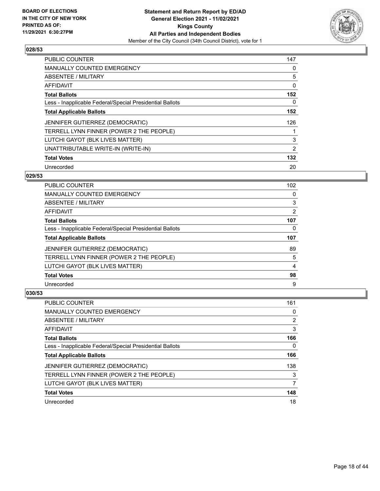

| PUBLIC COUNTER                                           | 147      |
|----------------------------------------------------------|----------|
| <b>MANUALLY COUNTED EMERGENCY</b>                        | 0        |
| ABSENTEE / MILITARY                                      | 5        |
| AFFIDAVIT                                                | $\Omega$ |
| <b>Total Ballots</b>                                     | 152      |
| Less - Inapplicable Federal/Special Presidential Ballots | 0        |
| <b>Total Applicable Ballots</b>                          | 152      |
| JENNIFER GUTIERREZ (DEMOCRATIC)                          | 126      |
| TERRELL LYNN FINNER (POWER 2 THE PEOPLE)                 |          |
| LUTCHI GAYOT (BLK LIVES MATTER)                          | 3        |
| UNATTRIBUTABLE WRITE-IN (WRITE-IN)                       | 2        |
| <b>Total Votes</b>                                       | 132      |
| Unrecorded                                               | 20       |

#### **029/53**

| <b>PUBLIC COUNTER</b>                                    | 102 |
|----------------------------------------------------------|-----|
| <b>MANUALLY COUNTED EMERGENCY</b>                        | 0   |
| ABSENTEE / MILITARY                                      | 3   |
| <b>AFFIDAVIT</b>                                         | 2   |
| <b>Total Ballots</b>                                     | 107 |
| Less - Inapplicable Federal/Special Presidential Ballots | 0   |
| <b>Total Applicable Ballots</b>                          | 107 |
| <b>JENNIFER GUTIERREZ (DEMOCRATIC)</b>                   | 89  |
| TERRELL LYNN FINNER (POWER 2 THE PEOPLE)                 | 5   |
| LUTCHI GAYOT (BLK LIVES MATTER)                          | 4   |
| <b>Total Votes</b>                                       | 98  |
| Unrecorded                                               | 9   |

| PUBLIC COUNTER                                           | 161 |
|----------------------------------------------------------|-----|
| <b>MANUALLY COUNTED EMERGENCY</b>                        | 0   |
| ABSENTEE / MILITARY                                      | 2   |
| AFFIDAVIT                                                | 3   |
| <b>Total Ballots</b>                                     | 166 |
| Less - Inapplicable Federal/Special Presidential Ballots | 0   |
| <b>Total Applicable Ballots</b>                          | 166 |
| <b>JENNIFER GUTIERREZ (DEMOCRATIC)</b>                   | 138 |
| TERRELL LYNN FINNER (POWER 2 THE PEOPLE)                 | 3   |
| LUTCHI GAYOT (BLK LIVES MATTER)                          |     |
| <b>Total Votes</b>                                       | 148 |
| Unrecorded                                               | 18  |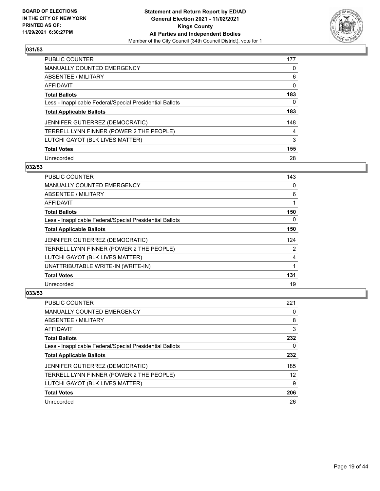

| <b>PUBLIC COUNTER</b>                                    | 177      |
|----------------------------------------------------------|----------|
| <b>MANUALLY COUNTED EMERGENCY</b>                        | $\Omega$ |
| ABSENTEE / MILITARY                                      | 6        |
| AFFIDAVIT                                                | 0        |
| <b>Total Ballots</b>                                     | 183      |
| Less - Inapplicable Federal/Special Presidential Ballots | 0        |
| <b>Total Applicable Ballots</b>                          | 183      |
| JENNIFER GUTIERREZ (DEMOCRATIC)                          | 148      |
| TERRELL LYNN FINNER (POWER 2 THE PEOPLE)                 | 4        |
| LUTCHI GAYOT (BLK LIVES MATTER)                          | 3        |
| <b>Total Votes</b>                                       | 155      |
| Unrecorded                                               | 28       |

#### **032/53**

| <b>PUBLIC COUNTER</b>                                    | 143      |
|----------------------------------------------------------|----------|
| <b>MANUALLY COUNTED EMERGENCY</b>                        | $\Omega$ |
| ABSENTEE / MILITARY                                      | 6        |
| AFFIDAVIT                                                |          |
| <b>Total Ballots</b>                                     | 150      |
| Less - Inapplicable Federal/Special Presidential Ballots | $\Omega$ |
| <b>Total Applicable Ballots</b>                          | 150      |
| <b>JENNIFER GUTIERREZ (DEMOCRATIC)</b>                   | 124      |
| TERRELL LYNN FINNER (POWER 2 THE PEOPLE)                 | 2        |
| LUTCHI GAYOT (BLK LIVES MATTER)                          | 4        |
| UNATTRIBUTABLE WRITE-IN (WRITE-IN)                       | 1        |
| <b>Total Votes</b>                                       | 131      |
| Unrecorded                                               | 19       |

| <b>PUBLIC COUNTER</b>                                    | 221 |
|----------------------------------------------------------|-----|
| MANUALLY COUNTED EMERGENCY                               | 0   |
| ABSENTEE / MILITARY                                      | 8   |
| AFFIDAVIT                                                | 3   |
| <b>Total Ballots</b>                                     | 232 |
| Less - Inapplicable Federal/Special Presidential Ballots | 0   |
| <b>Total Applicable Ballots</b>                          | 232 |
| JENNIFER GUTIERREZ (DEMOCRATIC)                          | 185 |
| TERRELL LYNN FINNER (POWER 2 THE PEOPLE)                 | 12  |
| LUTCHI GAYOT (BLK LIVES MATTER)                          | 9   |
|                                                          |     |
| <b>Total Votes</b>                                       | 206 |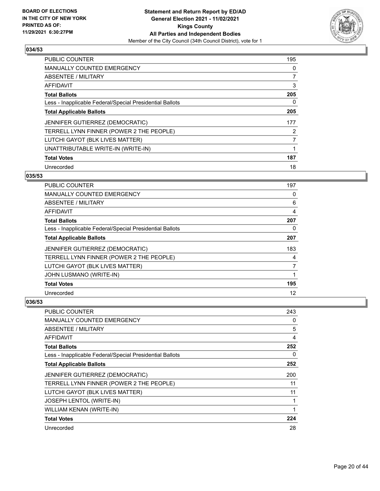

| <b>PUBLIC COUNTER</b>                                    | 195 |
|----------------------------------------------------------|-----|
| <b>MANUALLY COUNTED EMERGENCY</b>                        | 0   |
| ABSENTEE / MILITARY                                      | 7   |
| <b>AFFIDAVIT</b>                                         | 3   |
| <b>Total Ballots</b>                                     | 205 |
| Less - Inapplicable Federal/Special Presidential Ballots | 0   |
| <b>Total Applicable Ballots</b>                          | 205 |
| <b>JENNIFER GUTIERREZ (DEMOCRATIC)</b>                   | 177 |
| TERRELL LYNN FINNER (POWER 2 THE PEOPLE)                 | 2   |
| LUTCHI GAYOT (BLK LIVES MATTER)                          | 7   |
| UNATTRIBUTABLE WRITE-IN (WRITE-IN)                       | 1   |
| <b>Total Votes</b>                                       | 187 |
| Unrecorded                                               | 18  |

## **035/53**

| <b>PUBLIC COUNTER</b>                                    | 197 |
|----------------------------------------------------------|-----|
| MANUALLY COUNTED EMERGENCY                               | 0   |
| ABSENTEE / MILITARY                                      | 6   |
| AFFIDAVIT                                                | 4   |
| <b>Total Ballots</b>                                     | 207 |
| Less - Inapplicable Federal/Special Presidential Ballots | 0   |
| <b>Total Applicable Ballots</b>                          | 207 |
| JENNIFER GUTIERREZ (DEMOCRATIC)                          | 183 |
| TERRELL LYNN FINNER (POWER 2 THE PEOPLE)                 | 4   |
| LUTCHI GAYOT (BLK LIVES MATTER)                          | 7   |
| JOHN LUSMANO (WRITE-IN)                                  |     |
| <b>Total Votes</b>                                       | 195 |
| Unrecorded                                               | 12  |

| <b>PUBLIC COUNTER</b>                                    | 243 |
|----------------------------------------------------------|-----|
| <b>MANUALLY COUNTED EMERGENCY</b>                        | 0   |
| ABSENTEE / MILITARY                                      | 5   |
| AFFIDAVIT                                                | 4   |
| <b>Total Ballots</b>                                     | 252 |
| Less - Inapplicable Federal/Special Presidential Ballots | 0   |
| <b>Total Applicable Ballots</b>                          | 252 |
| JENNIFER GUTIERREZ (DEMOCRATIC)                          | 200 |
| TERRELL LYNN FINNER (POWER 2 THE PEOPLE)                 | 11  |
| LUTCHI GAYOT (BLK LIVES MATTER)                          | 11  |
| <b>JOSEPH LENTOL (WRITE-IN)</b>                          |     |
| WILLIAM KENAN (WRITE-IN)                                 |     |
| <b>Total Votes</b>                                       | 224 |
| Unrecorded                                               | 28  |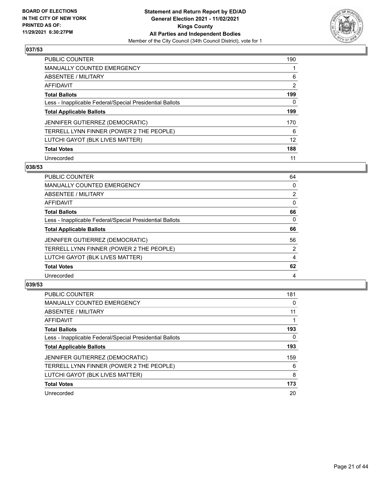

| <b>PUBLIC COUNTER</b>                                    | 190 |
|----------------------------------------------------------|-----|
| <b>MANUALLY COUNTED EMERGENCY</b>                        |     |
| ABSENTEE / MILITARY                                      | 6   |
| <b>AFFIDAVIT</b>                                         | 2   |
| <b>Total Ballots</b>                                     | 199 |
| Less - Inapplicable Federal/Special Presidential Ballots | 0   |
| <b>Total Applicable Ballots</b>                          | 199 |
| JENNIFER GUTIERREZ (DEMOCRATIC)                          | 170 |
| TERRELL LYNN FINNER (POWER 2 THE PEOPLE)                 | 6   |
| LUTCHI GAYOT (BLK LIVES MATTER)                          | 12  |
| <b>Total Votes</b>                                       | 188 |
| Unrecorded                                               | 11  |

#### **038/53**

| <b>PUBLIC COUNTER</b>                                    | 64             |
|----------------------------------------------------------|----------------|
| <b>MANUALLY COUNTED EMERGENCY</b>                        | 0              |
| ABSENTEE / MILITARY                                      | $\overline{2}$ |
| <b>AFFIDAVIT</b>                                         | $\Omega$       |
| <b>Total Ballots</b>                                     | 66             |
| Less - Inapplicable Federal/Special Presidential Ballots | $\Omega$       |
| <b>Total Applicable Ballots</b>                          | 66             |
| JENNIFER GUTIERREZ (DEMOCRATIC)                          | 56             |
| TERRELL LYNN FINNER (POWER 2 THE PEOPLE)                 | $\overline{2}$ |
| LUTCHI GAYOT (BLK LIVES MATTER)                          | 4              |
| <b>Total Votes</b>                                       | 62             |
| Unrecorded                                               | 4              |

| <b>PUBLIC COUNTER</b>                                    | 181      |
|----------------------------------------------------------|----------|
| <b>MANUALLY COUNTED EMERGENCY</b>                        | $\Omega$ |
| ABSENTEE / MILITARY                                      | 11       |
| <b>AFFIDAVIT</b>                                         |          |
| <b>Total Ballots</b>                                     | 193      |
| Less - Inapplicable Federal/Special Presidential Ballots | 0        |
| <b>Total Applicable Ballots</b>                          | 193      |
| JENNIFER GUTIERREZ (DEMOCRATIC)                          | 159      |
| TERRELL LYNN FINNER (POWER 2 THE PEOPLE)                 | 6        |
| LUTCHI GAYOT (BLK LIVES MATTER)                          | 8        |
| <b>Total Votes</b>                                       | 173      |
| Unrecorded                                               | 20       |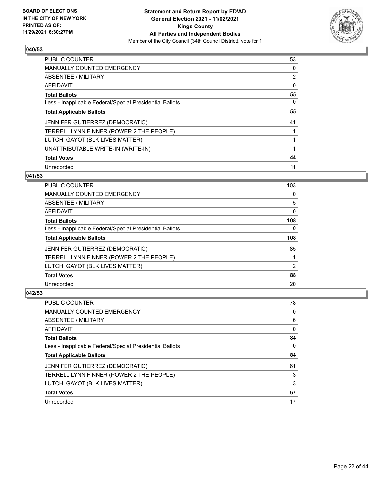

| <b>PUBLIC COUNTER</b>                                    | 53 |
|----------------------------------------------------------|----|
| MANUALLY COUNTED EMERGENCY                               | 0  |
| ABSENTEE / MILITARY                                      | 2  |
| AFFIDAVIT                                                | 0  |
| <b>Total Ballots</b>                                     | 55 |
| Less - Inapplicable Federal/Special Presidential Ballots | 0  |
| <b>Total Applicable Ballots</b>                          | 55 |
| <b>JENNIFER GUTIERREZ (DEMOCRATIC)</b>                   | 41 |
| TERRELL LYNN FINNER (POWER 2 THE PEOPLE)                 |    |
| LUTCHI GAYOT (BLK LIVES MATTER)                          |    |
| UNATTRIBUTABLE WRITE-IN (WRITE-IN)                       |    |
| <b>Total Votes</b>                                       | 44 |
| Unrecorded                                               | 11 |

## **041/53**

| <b>PUBLIC COUNTER</b>                                    | 103      |
|----------------------------------------------------------|----------|
| <b>MANUALLY COUNTED EMERGENCY</b>                        | 0        |
| ABSENTEE / MILITARY                                      | 5        |
| <b>AFFIDAVIT</b>                                         | 0        |
| <b>Total Ballots</b>                                     | 108      |
| Less - Inapplicable Federal/Special Presidential Ballots | $\Omega$ |
| <b>Total Applicable Ballots</b>                          | 108      |
| <b>JENNIFER GUTIERREZ (DEMOCRATIC)</b>                   | 85       |
| TERRELL LYNN FINNER (POWER 2 THE PEOPLE)                 |          |
| LUTCHI GAYOT (BLK LIVES MATTER)                          | 2        |
| <b>Total Votes</b>                                       | 88       |
| Unrecorded                                               | 20       |

| <b>PUBLIC COUNTER</b>                                    | 78 |
|----------------------------------------------------------|----|
| <b>MANUALLY COUNTED EMERGENCY</b>                        | 0  |
| ABSENTEE / MILITARY                                      | 6  |
| AFFIDAVIT                                                | 0  |
| <b>Total Ballots</b>                                     | 84 |
| Less - Inapplicable Federal/Special Presidential Ballots | 0  |
|                                                          |    |
| <b>Total Applicable Ballots</b>                          | 84 |
| JENNIFER GUTIERREZ (DEMOCRATIC)                          | 61 |
| TERRELL LYNN FINNER (POWER 2 THE PEOPLE)                 | 3  |
| LUTCHI GAYOT (BLK LIVES MATTER)                          | 3  |
| <b>Total Votes</b>                                       | 67 |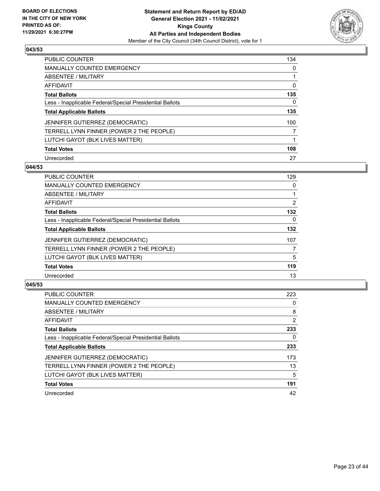

| <b>PUBLIC COUNTER</b>                                    | 134 |
|----------------------------------------------------------|-----|
| MANUALLY COUNTED EMERGENCY                               | 0   |
| ABSENTEE / MILITARY                                      |     |
| AFFIDAVIT                                                | 0   |
| <b>Total Ballots</b>                                     | 135 |
| Less - Inapplicable Federal/Special Presidential Ballots | 0   |
| <b>Total Applicable Ballots</b>                          | 135 |
| <b>JENNIFER GUTIERREZ (DEMOCRATIC)</b>                   | 100 |
| TERRELL LYNN FINNER (POWER 2 THE PEOPLE)                 |     |
| LUTCHI GAYOT (BLK LIVES MATTER)                          |     |
| <b>Total Votes</b>                                       | 108 |
| Unrecorded                                               | 27  |

#### **044/53**

| <b>PUBLIC COUNTER</b>                                    | 129      |
|----------------------------------------------------------|----------|
| <b>MANUALLY COUNTED EMERGENCY</b>                        | 0        |
| ABSENTEE / MILITARY                                      |          |
| <b>AFFIDAVIT</b>                                         | 2        |
| <b>Total Ballots</b>                                     | 132      |
| Less - Inapplicable Federal/Special Presidential Ballots | $\Omega$ |
| <b>Total Applicable Ballots</b>                          | 132      |
| <b>JENNIFER GUTIERREZ (DEMOCRATIC)</b>                   | 107      |
| TERRELL LYNN FINNER (POWER 2 THE PEOPLE)                 | 7        |
| LUTCHI GAYOT (BLK LIVES MATTER)                          | 5        |
| <b>Total Votes</b>                                       | 119      |
| Unrecorded                                               | 13       |

| <b>PUBLIC COUNTER</b>                                    | 223            |
|----------------------------------------------------------|----------------|
| <b>MANUALLY COUNTED EMERGENCY</b>                        | 0              |
| ABSENTEE / MILITARY                                      | 8              |
| <b>AFFIDAVIT</b>                                         | $\overline{2}$ |
| <b>Total Ballots</b>                                     | 233            |
| Less - Inapplicable Federal/Special Presidential Ballots | 0              |
| <b>Total Applicable Ballots</b>                          | 233            |
| JENNIFER GUTIERREZ (DEMOCRATIC)                          | 173            |
| TERRELL LYNN FINNER (POWER 2 THE PEOPLE)                 | 13             |
| LUTCHI GAYOT (BLK LIVES MATTER)                          | 5              |
| <b>Total Votes</b>                                       | 191            |
| Unrecorded                                               | 42             |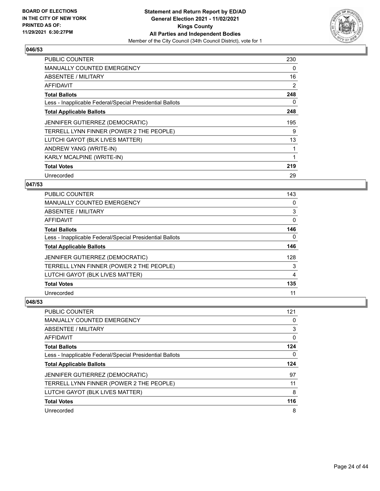

| <b>PUBLIC COUNTER</b>                                    | 230 |
|----------------------------------------------------------|-----|
| <b>MANUALLY COUNTED EMERGENCY</b>                        | 0   |
| ABSENTEE / MILITARY                                      | 16  |
| AFFIDAVIT                                                | 2   |
| <b>Total Ballots</b>                                     | 248 |
| Less - Inapplicable Federal/Special Presidential Ballots | 0   |
| <b>Total Applicable Ballots</b>                          | 248 |
| <b>JENNIFER GUTIERREZ (DEMOCRATIC)</b>                   | 195 |
| TERRELL LYNN FINNER (POWER 2 THE PEOPLE)                 | 9   |
| LUTCHI GAYOT (BLK LIVES MATTER)                          | 13  |
| ANDREW YANG (WRITE-IN)                                   | 1   |
| KARLY MCALPINE (WRITE-IN)                                | 1   |
| <b>Total Votes</b>                                       | 219 |
| Unrecorded                                               | 29  |

## **047/53**

| PUBLIC COUNTER                                           | 143 |
|----------------------------------------------------------|-----|
| <b>MANUALLY COUNTED EMERGENCY</b>                        | 0   |
| ABSENTEE / MILITARY                                      | 3   |
| AFFIDAVIT                                                | 0   |
| <b>Total Ballots</b>                                     | 146 |
| Less - Inapplicable Federal/Special Presidential Ballots | 0   |
| <b>Total Applicable Ballots</b>                          | 146 |
| <b>JENNIFER GUTIERREZ (DEMOCRATIC)</b>                   | 128 |
| TERRELL LYNN FINNER (POWER 2 THE PEOPLE)                 | 3   |
| LUTCHI GAYOT (BLK LIVES MATTER)                          | 4   |
| <b>Total Votes</b>                                       | 135 |
| Unrecorded                                               | 11  |

| <b>PUBLIC COUNTER</b>                                    | 121 |
|----------------------------------------------------------|-----|
| <b>MANUALLY COUNTED EMERGENCY</b>                        | 0   |
| ABSENTEE / MILITARY                                      | 3   |
| AFFIDAVIT                                                | 0   |
| <b>Total Ballots</b>                                     | 124 |
| Less - Inapplicable Federal/Special Presidential Ballots | 0   |
|                                                          |     |
| <b>Total Applicable Ballots</b>                          | 124 |
| JENNIFER GUTIERREZ (DEMOCRATIC)                          | 97  |
| TERRELL LYNN FINNER (POWER 2 THE PEOPLE)                 | 11  |
| LUTCHI GAYOT (BLK LIVES MATTER)                          | 8   |
| <b>Total Votes</b>                                       | 116 |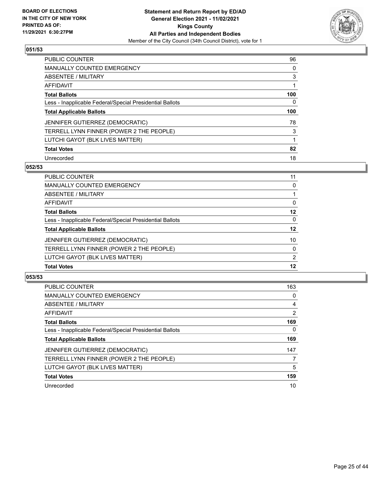

| PUBLIC COUNTER                                           | 96  |
|----------------------------------------------------------|-----|
| <b>MANUALLY COUNTED EMERGENCY</b>                        | 0   |
| ABSENTEE / MILITARY                                      | 3   |
| AFFIDAVIT                                                |     |
| <b>Total Ballots</b>                                     | 100 |
| Less - Inapplicable Federal/Special Presidential Ballots | 0   |
| <b>Total Applicable Ballots</b>                          | 100 |
|                                                          |     |
| JENNIFER GUTIERREZ (DEMOCRATIC)                          | 78  |
| TERRELL LYNN FINNER (POWER 2 THE PEOPLE)                 | 3   |
| LUTCHI GAYOT (BLK LIVES MATTER)                          |     |
| <b>Total Votes</b>                                       | 82  |

#### **052/53**

| PUBLIC COUNTER                                           | 11       |
|----------------------------------------------------------|----------|
| <b>MANUALLY COUNTED EMERGENCY</b>                        | 0        |
| ABSENTEE / MILITARY                                      |          |
| AFFIDAVIT                                                | 0        |
| <b>Total Ballots</b>                                     | 12       |
| Less - Inapplicable Federal/Special Presidential Ballots | $\Omega$ |
| <b>Total Applicable Ballots</b>                          | 12       |
| <b>JENNIFER GUTIERREZ (DEMOCRATIC)</b>                   | 10       |
| TERRELL LYNN FINNER (POWER 2 THE PEOPLE)                 | $\Omega$ |
| LUTCHI GAYOT (BLK LIVES MATTER)                          | 2        |
| <b>Total Votes</b>                                       | 12       |

| <b>PUBLIC COUNTER</b>                                    | 163      |
|----------------------------------------------------------|----------|
| <b>MANUALLY COUNTED EMERGENCY</b>                        | 0        |
| ABSENTEE / MILITARY                                      | 4        |
| AFFIDAVIT                                                | 2        |
| <b>Total Ballots</b>                                     | 169      |
| Less - Inapplicable Federal/Special Presidential Ballots | $\Omega$ |
| <b>Total Applicable Ballots</b>                          | 169      |
| JENNIFER GUTIERREZ (DEMOCRATIC)                          | 147      |
| TERRELL LYNN FINNER (POWER 2 THE PEOPLE)                 |          |
| LUTCHI GAYOT (BLK LIVES MATTER)                          | 5        |
| <b>Total Votes</b>                                       | 159      |
| Unrecorded                                               | 10       |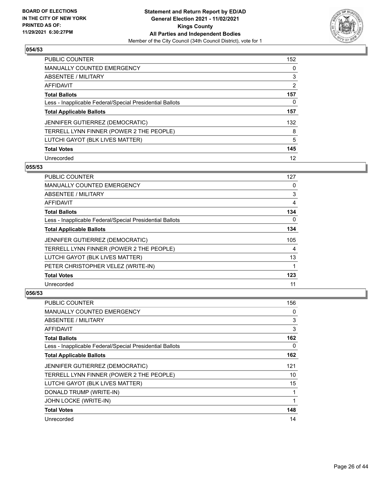

| PUBLIC COUNTER                                           | 152 |
|----------------------------------------------------------|-----|
| <b>MANUALLY COUNTED EMERGENCY</b>                        | 0   |
| ABSENTEE / MILITARY                                      | 3   |
| AFFIDAVIT                                                | 2   |
| <b>Total Ballots</b>                                     | 157 |
| Less - Inapplicable Federal/Special Presidential Ballots | 0   |
| <b>Total Applicable Ballots</b>                          | 157 |
| JENNIFER GUTIERREZ (DEMOCRATIC)                          | 132 |
| TERRELL LYNN FINNER (POWER 2 THE PEOPLE)                 | 8   |
| LUTCHI GAYOT (BLK LIVES MATTER)                          | 5   |
| <b>Total Votes</b>                                       | 145 |
| Unrecorded                                               | 12  |

#### **055/53**

| <b>PUBLIC COUNTER</b>                                    | 127      |
|----------------------------------------------------------|----------|
| <b>MANUALLY COUNTED EMERGENCY</b>                        | 0        |
| ABSENTEE / MILITARY                                      | 3        |
| AFFIDAVIT                                                | 4        |
| <b>Total Ballots</b>                                     | 134      |
| Less - Inapplicable Federal/Special Presidential Ballots | $\Omega$ |
| <b>Total Applicable Ballots</b>                          | 134      |
| <b>JENNIFER GUTIERREZ (DEMOCRATIC)</b>                   | 105      |
| TERRELL LYNN FINNER (POWER 2 THE PEOPLE)                 | 4        |
| LUTCHI GAYOT (BLK LIVES MATTER)                          | 13       |
| PETER CHRISTOPHER VELEZ (WRITE-IN)                       |          |
| <b>Total Votes</b>                                       | 123      |
| Unrecorded                                               | 11       |

| PUBLIC COUNTER                                           | 156 |
|----------------------------------------------------------|-----|
| <b>MANUALLY COUNTED EMERGENCY</b>                        | 0   |
| ABSENTEE / MILITARY                                      | 3   |
| AFFIDAVIT                                                | 3   |
| <b>Total Ballots</b>                                     | 162 |
| Less - Inapplicable Federal/Special Presidential Ballots | 0   |
| <b>Total Applicable Ballots</b>                          | 162 |
| JENNIFER GUTIERREZ (DEMOCRATIC)                          | 121 |
| TERRELL LYNN FINNER (POWER 2 THE PEOPLE)                 | 10  |
| LUTCHI GAYOT (BLK LIVES MATTER)                          | 15  |
| DONALD TRUMP (WRITE-IN)                                  | 1   |
| JOHN LOCKE (WRITE-IN)                                    |     |
| <b>Total Votes</b>                                       | 148 |
| Unrecorded                                               | 14  |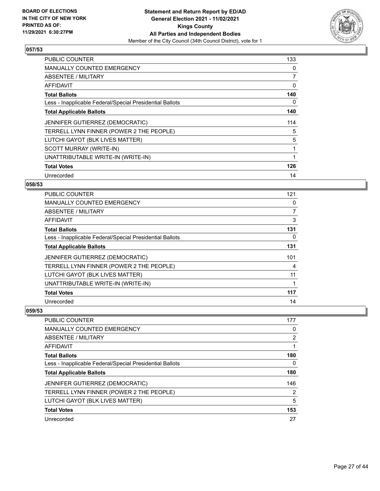

| <b>PUBLIC COUNTER</b>                                    | 133 |
|----------------------------------------------------------|-----|
| <b>MANUALLY COUNTED EMERGENCY</b>                        | 0   |
| ABSENTEE / MILITARY                                      | 7   |
| AFFIDAVIT                                                | 0   |
| <b>Total Ballots</b>                                     | 140 |
| Less - Inapplicable Federal/Special Presidential Ballots | 0   |
| <b>Total Applicable Ballots</b>                          | 140 |
| JENNIFER GUTIERREZ (DEMOCRATIC)                          | 114 |
| TERRELL LYNN FINNER (POWER 2 THE PEOPLE)                 | 5   |
| LUTCHI GAYOT (BLK LIVES MATTER)                          | 5   |
| SCOTT MURRAY (WRITE-IN)                                  | 1   |
| UNATTRIBUTABLE WRITE-IN (WRITE-IN)                       |     |
| <b>Total Votes</b>                                       | 126 |
| Unrecorded                                               | 14  |

## **058/53**

| PUBLIC COUNTER                                           | 121 |
|----------------------------------------------------------|-----|
| MANUALLY COUNTED EMERGENCY                               | 0   |
| ABSENTEE / MILITARY                                      | 7   |
| AFFIDAVIT                                                | 3   |
| <b>Total Ballots</b>                                     | 131 |
| Less - Inapplicable Federal/Special Presidential Ballots | 0   |
| <b>Total Applicable Ballots</b>                          | 131 |
| JENNIFER GUTIERREZ (DEMOCRATIC)                          | 101 |
| TERRELL LYNN FINNER (POWER 2 THE PEOPLE)                 | 4   |
| LUTCHI GAYOT (BLK LIVES MATTER)                          | 11  |
| UNATTRIBUTABLE WRITE-IN (WRITE-IN)                       |     |
| <b>Total Votes</b>                                       | 117 |
| Unrecorded                                               | 14  |

| PUBLIC COUNTER                                           | 177 |
|----------------------------------------------------------|-----|
| <b>MANUALLY COUNTED EMERGENCY</b>                        | 0   |
| ABSENTEE / MILITARY                                      | 2   |
| AFFIDAVIT                                                |     |
| <b>Total Ballots</b>                                     | 180 |
| Less - Inapplicable Federal/Special Presidential Ballots | 0   |
| <b>Total Applicable Ballots</b>                          | 180 |
| <b>JENNIFER GUTIERREZ (DEMOCRATIC)</b>                   | 146 |
| TERRELL LYNN FINNER (POWER 2 THE PEOPLE)                 | 2   |
| LUTCHI GAYOT (BLK LIVES MATTER)                          | 5   |
| <b>Total Votes</b>                                       | 153 |
| Unrecorded                                               | 27  |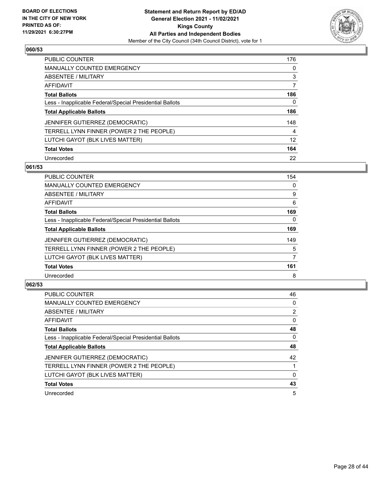

| PUBLIC COUNTER                                           | 176      |
|----------------------------------------------------------|----------|
| <b>MANUALLY COUNTED EMERGENCY</b>                        | $\Omega$ |
| ABSENTEE / MILITARY                                      | 3        |
| AFFIDAVIT                                                | 7        |
| <b>Total Ballots</b>                                     | 186      |
| Less - Inapplicable Federal/Special Presidential Ballots | 0        |
| <b>Total Applicable Ballots</b>                          | 186      |
| JENNIFER GUTIERREZ (DEMOCRATIC)                          | 148      |
| TERRELL LYNN FINNER (POWER 2 THE PEOPLE)                 | 4        |
| LUTCHI GAYOT (BLK LIVES MATTER)                          | 12       |
| <b>Total Votes</b>                                       | 164      |
| Unrecorded                                               | 22       |

#### **061/53**

| <b>PUBLIC COUNTER</b>                                    | 154      |
|----------------------------------------------------------|----------|
| <b>MANUALLY COUNTED EMERGENCY</b>                        | 0        |
| ABSENTEE / MILITARY                                      | 9        |
| <b>AFFIDAVIT</b>                                         | 6        |
| <b>Total Ballots</b>                                     | 169      |
| Less - Inapplicable Federal/Special Presidential Ballots | $\Omega$ |
| <b>Total Applicable Ballots</b>                          | 169      |
| JENNIFER GUTIERREZ (DEMOCRATIC)                          | 149      |
| TERRELL LYNN FINNER (POWER 2 THE PEOPLE)                 | 5        |
| LUTCHI GAYOT (BLK LIVES MATTER)                          | 7        |
| <b>Total Votes</b>                                       | 161      |
| Unrecorded                                               | 8        |

| <b>PUBLIC COUNTER</b>                                    | 46             |
|----------------------------------------------------------|----------------|
| <b>MANUALLY COUNTED EMERGENCY</b>                        | 0              |
| ABSENTEE / MILITARY                                      | $\overline{2}$ |
| AFFIDAVIT                                                | $\Omega$       |
| <b>Total Ballots</b>                                     | 48             |
| Less - Inapplicable Federal/Special Presidential Ballots | $\Omega$       |
| <b>Total Applicable Ballots</b>                          | 48             |
| JENNIFER GUTIERREZ (DEMOCRATIC)                          | 42             |
| TERRELL LYNN FINNER (POWER 2 THE PEOPLE)                 |                |
| LUTCHI GAYOT (BLK LIVES MATTER)                          | $\Omega$       |
| <b>Total Votes</b>                                       | 43             |
| Unrecorded                                               | 5              |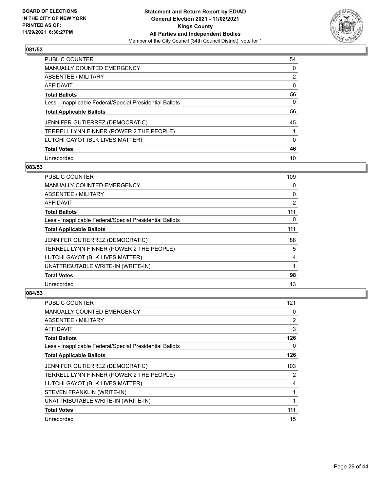

| <b>PUBLIC COUNTER</b>                                    | 54 |
|----------------------------------------------------------|----|
| <b>MANUALLY COUNTED EMERGENCY</b>                        | 0  |
| <b>ABSENTEE / MILITARY</b>                               | 2  |
| AFFIDAVIT                                                | 0  |
| <b>Total Ballots</b>                                     | 56 |
| Less - Inapplicable Federal/Special Presidential Ballots | 0  |
| <b>Total Applicable Ballots</b>                          | 56 |
| JENNIFER GUTIERREZ (DEMOCRATIC)                          | 45 |
| TERRELL LYNN FINNER (POWER 2 THE PEOPLE)                 |    |
| LUTCHI GAYOT (BLK LIVES MATTER)                          | 0  |
| <b>Total Votes</b>                                       | 46 |
| Unrecorded                                               | 10 |

### **083/53**

| PUBLIC COUNTER                                           | 109      |
|----------------------------------------------------------|----------|
| <b>MANUALLY COUNTED EMERGENCY</b>                        | 0        |
| ABSENTEE / MILITARY                                      | 0        |
| AFFIDAVIT                                                | 2        |
| <b>Total Ballots</b>                                     | 111      |
| Less - Inapplicable Federal/Special Presidential Ballots | $\Omega$ |
| <b>Total Applicable Ballots</b>                          | 111      |
| <b>JENNIFER GUTIERREZ (DEMOCRATIC)</b>                   | 88       |
| TERRELL LYNN FINNER (POWER 2 THE PEOPLE)                 | 5        |
| LUTCHI GAYOT (BLK LIVES MATTER)                          | 4        |
| UNATTRIBUTABLE WRITE-IN (WRITE-IN)                       | 1        |
| <b>Total Votes</b>                                       | 98       |
| Unrecorded                                               | 13       |

| <b>PUBLIC COUNTER</b>                                    | 121 |
|----------------------------------------------------------|-----|
| MANUALLY COUNTED EMERGENCY                               | 0   |
| ABSENTEE / MILITARY                                      | 2   |
| AFFIDAVIT                                                | 3   |
| <b>Total Ballots</b>                                     | 126 |
| Less - Inapplicable Federal/Special Presidential Ballots | 0   |
| <b>Total Applicable Ballots</b>                          | 126 |
| JENNIFER GUTIERREZ (DEMOCRATIC)                          | 103 |
| TERRELL LYNN FINNER (POWER 2 THE PEOPLE)                 | 2   |
| LUTCHI GAYOT (BLK LIVES MATTER)                          | 4   |
| STEVEN FRANKLIN (WRITE-IN)                               | 1   |
| UNATTRIBUTABLE WRITE-IN (WRITE-IN)                       | 1   |
| <b>Total Votes</b>                                       | 111 |
| Unrecorded                                               | 15  |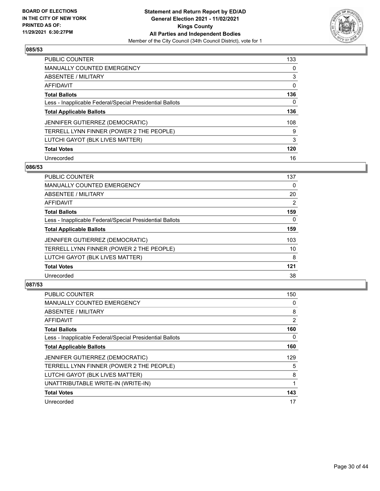

| <b>PUBLIC COUNTER</b>                                    | 133      |
|----------------------------------------------------------|----------|
| <b>MANUALLY COUNTED EMERGENCY</b>                        | $\Omega$ |
| ABSENTEE / MILITARY                                      | 3        |
| AFFIDAVIT                                                | 0        |
| <b>Total Ballots</b>                                     | 136      |
| Less - Inapplicable Federal/Special Presidential Ballots | 0        |
| <b>Total Applicable Ballots</b>                          | 136      |
| JENNIFER GUTIERREZ (DEMOCRATIC)                          | 108      |
| TERRELL LYNN FINNER (POWER 2 THE PEOPLE)                 | 9        |
| LUTCHI GAYOT (BLK LIVES MATTER)                          | 3        |
| <b>Total Votes</b>                                       | 120      |
| Unrecorded                                               | 16       |

#### **086/53**

| <b>PUBLIC COUNTER</b>                                    | 137      |
|----------------------------------------------------------|----------|
| <b>MANUALLY COUNTED EMERGENCY</b>                        | 0        |
| ABSENTEE / MILITARY                                      | 20       |
| <b>AFFIDAVIT</b>                                         | 2        |
| <b>Total Ballots</b>                                     | 159      |
| Less - Inapplicable Federal/Special Presidential Ballots | $\Omega$ |
| <b>Total Applicable Ballots</b>                          | 159      |
| <b>JENNIFER GUTIERREZ (DEMOCRATIC)</b>                   | 103      |
| TERRELL LYNN FINNER (POWER 2 THE PEOPLE)                 | 10       |
| LUTCHI GAYOT (BLK LIVES MATTER)                          | 8        |
| <b>Total Votes</b>                                       | 121      |
| Unrecorded                                               | 38       |

| <b>PUBLIC COUNTER</b>                                    | 150 |
|----------------------------------------------------------|-----|
| <b>MANUALLY COUNTED EMERGENCY</b>                        | 0   |
| ABSENTEE / MILITARY                                      | 8   |
| AFFIDAVIT                                                | 2   |
| <b>Total Ballots</b>                                     | 160 |
| Less - Inapplicable Federal/Special Presidential Ballots | 0   |
| <b>Total Applicable Ballots</b>                          | 160 |
| <b>JENNIFER GUTIERREZ (DEMOCRATIC)</b>                   | 129 |
| TERRELL LYNN FINNER (POWER 2 THE PEOPLE)                 | 5   |
| LUTCHI GAYOT (BLK LIVES MATTER)                          | 8   |
| UNATTRIBUTABLE WRITE-IN (WRITE-IN)                       |     |
| <b>Total Votes</b>                                       | 143 |
| Unrecorded                                               | 17  |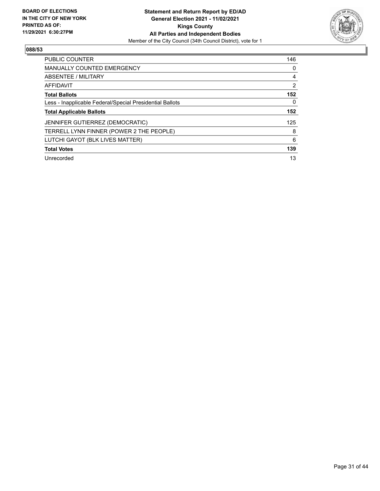

| <b>PUBLIC COUNTER</b>                                    | 146 |
|----------------------------------------------------------|-----|
| <b>MANUALLY COUNTED EMERGENCY</b>                        | 0   |
| ABSENTEE / MILITARY                                      | 4   |
| AFFIDAVIT                                                | 2   |
| <b>Total Ballots</b>                                     | 152 |
| Less - Inapplicable Federal/Special Presidential Ballots | 0   |
| <b>Total Applicable Ballots</b>                          | 152 |
| JENNIFER GUTIERREZ (DEMOCRATIC)                          | 125 |
| TERRELL LYNN FINNER (POWER 2 THE PEOPLE)                 | 8   |
| LUTCHI GAYOT (BLK LIVES MATTER)                          | 6   |
| <b>Total Votes</b>                                       | 139 |
| Unrecorded                                               | 13  |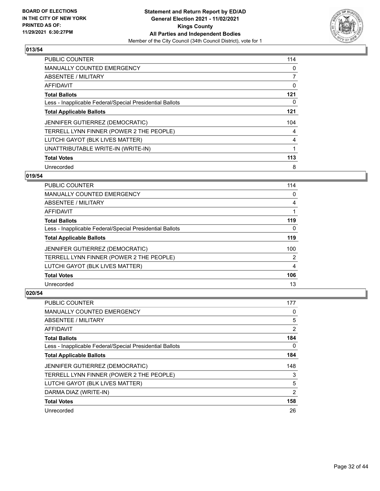

| <b>PUBLIC COUNTER</b>                                    | 114 |
|----------------------------------------------------------|-----|
| <b>MANUALLY COUNTED EMERGENCY</b>                        | 0   |
| ABSENTEE / MILITARY                                      | 7   |
| AFFIDAVIT                                                | 0   |
| <b>Total Ballots</b>                                     | 121 |
| Less - Inapplicable Federal/Special Presidential Ballots | 0   |
| <b>Total Applicable Ballots</b>                          | 121 |
| JENNIFER GUTIERREZ (DEMOCRATIC)                          | 104 |
| TERRELL LYNN FINNER (POWER 2 THE PEOPLE)                 | 4   |
| LUTCHI GAYOT (BLK LIVES MATTER)                          | 4   |
| UNATTRIBUTABLE WRITE-IN (WRITE-IN)                       |     |
| <b>Total Votes</b>                                       | 113 |
| Unrecorded                                               | 8   |

## **019/54**

| <b>PUBLIC COUNTER</b>                                    | 114      |
|----------------------------------------------------------|----------|
| MANUALLY COUNTED EMERGENCY                               | $\Omega$ |
| ABSENTEE / MILITARY                                      | 4        |
| AFFIDAVIT                                                |          |
| <b>Total Ballots</b>                                     | 119      |
| Less - Inapplicable Federal/Special Presidential Ballots | $\Omega$ |
| <b>Total Applicable Ballots</b>                          | 119      |
| JENNIFER GUTIERREZ (DEMOCRATIC)                          | 100      |
| TERRELL LYNN FINNER (POWER 2 THE PEOPLE)                 | 2        |
| LUTCHI GAYOT (BLK LIVES MATTER)                          | 4        |
| <b>Total Votes</b>                                       | 106      |
| Unrecorded                                               | 13       |

| <b>PUBLIC COUNTER</b>                                    | 177            |
|----------------------------------------------------------|----------------|
| MANUALLY COUNTED EMERGENCY                               | 0              |
| ABSENTEE / MILITARY                                      | 5              |
| AFFIDAVIT                                                | $\overline{2}$ |
| <b>Total Ballots</b>                                     | 184            |
| Less - Inapplicable Federal/Special Presidential Ballots | $\Omega$       |
| <b>Total Applicable Ballots</b>                          | 184            |
| JENNIFER GUTIERREZ (DEMOCRATIC)                          | 148            |
| TERRELL LYNN FINNER (POWER 2 THE PEOPLE)                 | 3              |
| LUTCHI GAYOT (BLK LIVES MATTER)                          | 5              |
| DARMA DIAZ (WRITE-IN)                                    | $\overline{2}$ |
| <b>Total Votes</b>                                       | 158            |
| Unrecorded                                               | 26             |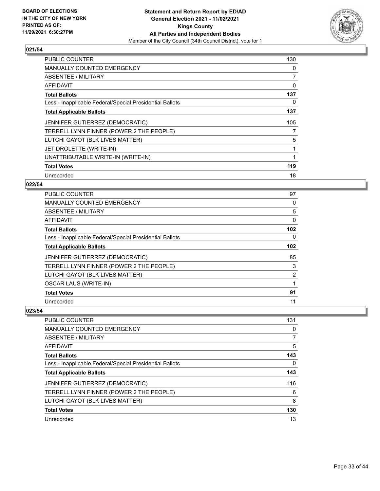

| <b>PUBLIC COUNTER</b>                                    | 130 |
|----------------------------------------------------------|-----|
| <b>MANUALLY COUNTED EMERGENCY</b>                        | 0   |
| ABSENTEE / MILITARY                                      | 7   |
| AFFIDAVIT                                                | 0   |
| <b>Total Ballots</b>                                     | 137 |
| Less - Inapplicable Federal/Special Presidential Ballots | 0   |
| <b>Total Applicable Ballots</b>                          | 137 |
| <b>JENNIFER GUTIERREZ (DEMOCRATIC)</b>                   | 105 |
| TERRELL LYNN FINNER (POWER 2 THE PEOPLE)                 |     |
| LUTCHI GAYOT (BLK LIVES MATTER)                          | 5   |
| JET DROLETTE (WRITE-IN)                                  | 1   |
| UNATTRIBUTABLE WRITE-IN (WRITE-IN)                       | 1   |
| <b>Total Votes</b>                                       | 119 |
| Unrecorded                                               | 18  |

## **022/54**

| PUBLIC COUNTER                                           | 97       |
|----------------------------------------------------------|----------|
| <b>MANUALLY COUNTED EMERGENCY</b>                        | $\Omega$ |
| ABSENTEE / MILITARY                                      | 5        |
| AFFIDAVIT                                                | 0        |
| <b>Total Ballots</b>                                     | 102      |
| Less - Inapplicable Federal/Special Presidential Ballots | 0        |
| <b>Total Applicable Ballots</b>                          | 102      |
| JENNIFER GUTIERREZ (DEMOCRATIC)                          | 85       |
| TERRELL LYNN FINNER (POWER 2 THE PEOPLE)                 | 3        |
| LUTCHI GAYOT (BLK LIVES MATTER)                          | 2        |
| <b>OSCAR LAUS (WRITE-IN)</b>                             | 1        |
| <b>Total Votes</b>                                       | 91       |
| Unrecorded                                               | 11       |

| PUBLIC COUNTER                                           | 131 |
|----------------------------------------------------------|-----|
| <b>MANUALLY COUNTED EMERGENCY</b>                        | 0   |
| ABSENTEE / MILITARY                                      | 7   |
| AFFIDAVIT                                                | 5   |
| <b>Total Ballots</b>                                     | 143 |
| Less - Inapplicable Federal/Special Presidential Ballots | 0   |
| <b>Total Applicable Ballots</b>                          | 143 |
| <b>JENNIFER GUTIERREZ (DEMOCRATIC)</b>                   | 116 |
| TERRELL LYNN FINNER (POWER 2 THE PEOPLE)                 | 6   |
| LUTCHI GAYOT (BLK LIVES MATTER)                          | 8   |
| <b>Total Votes</b>                                       | 130 |
| Unrecorded                                               | 13  |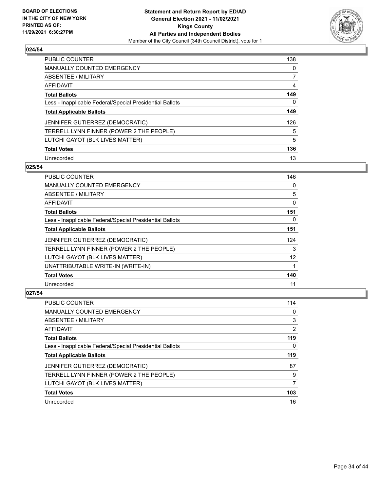

| <b>PUBLIC COUNTER</b>                                    | 138      |
|----------------------------------------------------------|----------|
| <b>MANUALLY COUNTED EMERGENCY</b>                        | $\Omega$ |
| ABSENTEE / MILITARY                                      |          |
| AFFIDAVIT                                                | 4        |
| <b>Total Ballots</b>                                     | 149      |
| Less - Inapplicable Federal/Special Presidential Ballots | 0        |
| <b>Total Applicable Ballots</b>                          | 149      |
| JENNIFER GUTIERREZ (DEMOCRATIC)                          | 126      |
| TERRELL LYNN FINNER (POWER 2 THE PEOPLE)                 | 5        |
| LUTCHI GAYOT (BLK LIVES MATTER)                          | 5        |
| <b>Total Votes</b>                                       | 136      |
| Unrecorded                                               | 13       |

#### **025/54**

| <b>PUBLIC COUNTER</b>                                    | 146      |
|----------------------------------------------------------|----------|
| MANUALLY COUNTED EMERGENCY                               | 0        |
| ABSENTEE / MILITARY                                      | 5        |
| AFFIDAVIT                                                | 0        |
| <b>Total Ballots</b>                                     | 151      |
| Less - Inapplicable Federal/Special Presidential Ballots | $\Omega$ |
| <b>Total Applicable Ballots</b>                          | 151      |
| JENNIFER GUTIERREZ (DEMOCRATIC)                          | 124      |
| TERRELL LYNN FINNER (POWER 2 THE PEOPLE)                 | 3        |
| LUTCHI GAYOT (BLK LIVES MATTER)                          | 12       |
| UNATTRIBUTABLE WRITE-IN (WRITE-IN)                       | 1        |
| <b>Total Votes</b>                                       | 140      |
| Unrecorded                                               | 11       |

| PUBLIC COUNTER                                           | 114 |
|----------------------------------------------------------|-----|
| <b>MANUALLY COUNTED EMERGENCY</b>                        | 0   |
| ABSENTEE / MILITARY                                      | 3   |
| AFFIDAVIT                                                | 2   |
| <b>Total Ballots</b>                                     | 119 |
| Less - Inapplicable Federal/Special Presidential Ballots | 0   |
| <b>Total Applicable Ballots</b>                          | 119 |
|                                                          |     |
| JENNIFER GUTIERREZ (DEMOCRATIC)                          | 87  |
| TERRELL LYNN FINNER (POWER 2 THE PEOPLE)                 | 9   |
| LUTCHI GAYOT (BLK LIVES MATTER)                          | 7   |
| <b>Total Votes</b>                                       | 103 |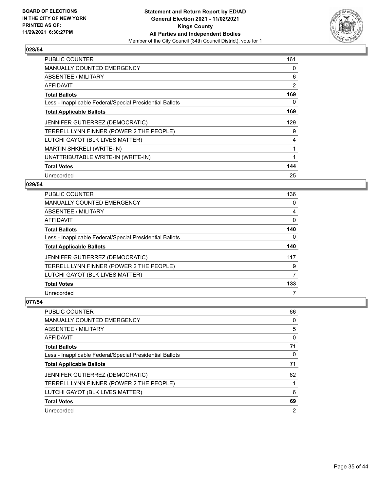

| <b>PUBLIC COUNTER</b>                                    | 161            |
|----------------------------------------------------------|----------------|
| <b>MANUALLY COUNTED EMERGENCY</b>                        | 0              |
| ABSENTEE / MILITARY                                      | 6              |
| <b>AFFIDAVIT</b>                                         | $\overline{2}$ |
| <b>Total Ballots</b>                                     | 169            |
| Less - Inapplicable Federal/Special Presidential Ballots | 0              |
| <b>Total Applicable Ballots</b>                          | 169            |
| JENNIFER GUTIERREZ (DEMOCRATIC)                          | 129            |
| TERRELL LYNN FINNER (POWER 2 THE PEOPLE)                 | 9              |
| LUTCHI GAYOT (BLK LIVES MATTER)                          | 4              |
| MARTIN SHKRELI (WRITE-IN)                                |                |
| UNATTRIBUTABLE WRITE-IN (WRITE-IN)                       |                |
| <b>Total Votes</b>                                       | 144            |
| Unrecorded                                               | 25             |

## **029/54**

| <b>PUBLIC COUNTER</b>                                    | 136 |
|----------------------------------------------------------|-----|
| <b>MANUALLY COUNTED EMERGENCY</b>                        | 0   |
| ABSENTEE / MILITARY                                      | 4   |
| AFFIDAVIT                                                | 0   |
| <b>Total Ballots</b>                                     | 140 |
| Less - Inapplicable Federal/Special Presidential Ballots | 0   |
| <b>Total Applicable Ballots</b>                          | 140 |
| <b>JENNIFER GUTIERREZ (DEMOCRATIC)</b>                   | 117 |
| TERRELL LYNN FINNER (POWER 2 THE PEOPLE)                 | 9   |
| LUTCHI GAYOT (BLK LIVES MATTER)                          | 7   |
| <b>Total Votes</b>                                       | 133 |
| Unrecorded                                               | 7   |

| <b>PUBLIC COUNTER</b>                                    | 66 |
|----------------------------------------------------------|----|
| <b>MANUALLY COUNTED EMERGENCY</b>                        | 0  |
| ABSENTEE / MILITARY                                      | 5  |
| AFFIDAVIT                                                | 0  |
| <b>Total Ballots</b>                                     | 71 |
| Less - Inapplicable Federal/Special Presidential Ballots | 0  |
| <b>Total Applicable Ballots</b>                          | 71 |
| JENNIFER GUTIERREZ (DEMOCRATIC)                          | 62 |
| TERRELL LYNN FINNER (POWER 2 THE PEOPLE)                 |    |
| LUTCHI GAYOT (BLK LIVES MATTER)                          | 6  |
| <b>Total Votes</b>                                       | 69 |
|                                                          |    |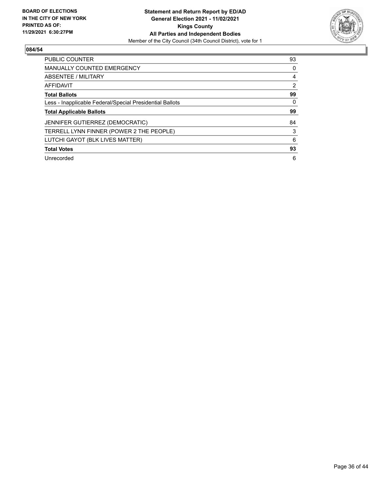

| <b>PUBLIC COUNTER</b>                                    | 93       |
|----------------------------------------------------------|----------|
| <b>MANUALLY COUNTED EMERGENCY</b>                        | $\Omega$ |
| ABSENTEE / MILITARY                                      | 4        |
| <b>AFFIDAVIT</b>                                         | 2        |
| <b>Total Ballots</b>                                     | 99       |
| Less - Inapplicable Federal/Special Presidential Ballots | 0        |
| <b>Total Applicable Ballots</b>                          | 99       |
| JENNIFER GUTIERREZ (DEMOCRATIC)                          | 84       |
| TERRELL LYNN FINNER (POWER 2 THE PEOPLE)                 | 3        |
| LUTCHI GAYOT (BLK LIVES MATTER)                          | 6        |
| <b>Total Votes</b>                                       | 93       |
| Unrecorded                                               | 6        |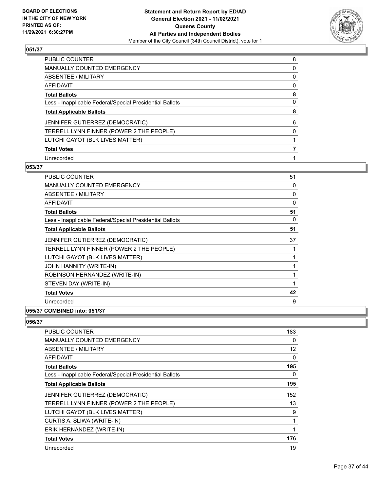

| PUBLIC COUNTER                                           | 8        |
|----------------------------------------------------------|----------|
| <b>MANUALLY COUNTED EMERGENCY</b>                        | 0        |
| <b>ABSENTEE / MILITARY</b>                               | 0        |
| <b>AFFIDAVIT</b>                                         | 0        |
| <b>Total Ballots</b>                                     | 8        |
| Less - Inapplicable Federal/Special Presidential Ballots | 0        |
| <b>Total Applicable Ballots</b>                          | 8        |
| JENNIFER GUTIERREZ (DEMOCRATIC)                          | 6        |
| TERRELL LYNN FINNER (POWER 2 THE PEOPLE)                 | $\Omega$ |
| LUTCHI GAYOT (BLK LIVES MATTER)                          |          |
| <b>Total Votes</b>                                       |          |
| Unrecorded                                               |          |

#### **053/37**

| <b>PUBLIC COUNTER</b>                                    | 51 |
|----------------------------------------------------------|----|
| <b>MANUALLY COUNTED EMERGENCY</b>                        | 0  |
| ABSENTEE / MILITARY                                      | 0  |
| <b>AFFIDAVIT</b>                                         | 0  |
| <b>Total Ballots</b>                                     | 51 |
| Less - Inapplicable Federal/Special Presidential Ballots | 0  |
| <b>Total Applicable Ballots</b>                          | 51 |
| JENNIFER GUTIERREZ (DEMOCRATIC)                          | 37 |
| TERRELL LYNN FINNER (POWER 2 THE PEOPLE)                 | 1  |
| LUTCHI GAYOT (BLK LIVES MATTER)                          | 1  |
| JOHN HANNITY (WRITE-IN)                                  | 1  |
| ROBINSON HERNANDEZ (WRITE-IN)                            | 1  |
| STEVEN DAY (WRITE-IN)                                    | 1  |
| <b>Total Votes</b>                                       | 42 |
| Unrecorded                                               | 9  |
|                                                          |    |

# **055/37 COMBINED into: 051/37**

| <b>PUBLIC COUNTER</b>                                    | 183 |
|----------------------------------------------------------|-----|
| <b>MANUALLY COUNTED EMERGENCY</b>                        | 0   |
| ABSENTEE / MILITARY                                      | 12  |
| AFFIDAVIT                                                | 0   |
| <b>Total Ballots</b>                                     | 195 |
| Less - Inapplicable Federal/Special Presidential Ballots | 0   |
| <b>Total Applicable Ballots</b>                          | 195 |
| <b>JENNIFER GUTIERREZ (DEMOCRATIC)</b>                   | 152 |
| TERRELL LYNN FINNER (POWER 2 THE PEOPLE)                 | 13  |
| LUTCHI GAYOT (BLK LIVES MATTER)                          | 9   |
| CURTIS A. SLIWA (WRITE-IN)                               | 1   |
| ERIK HERNANDEZ (WRITE-IN)                                |     |
| <b>Total Votes</b>                                       | 176 |
| Unrecorded                                               | 19  |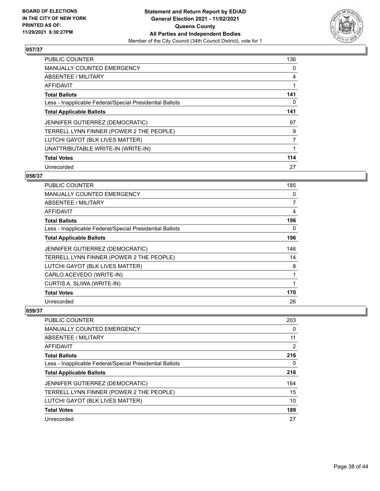

| <b>PUBLIC COUNTER</b>                                    | 136 |
|----------------------------------------------------------|-----|
| <b>MANUALLY COUNTED EMERGENCY</b>                        | 0   |
| ABSENTEE / MILITARY                                      | 4   |
| <b>AFFIDAVIT</b>                                         |     |
| <b>Total Ballots</b>                                     | 141 |
| Less - Inapplicable Federal/Special Presidential Ballots | 0   |
| <b>Total Applicable Ballots</b>                          | 141 |
| <b>JENNIFER GUTIERREZ (DEMOCRATIC)</b>                   | 97  |
| TERRELL LYNN FINNER (POWER 2 THE PEOPLE)                 | 9   |
| LUTCHI GAYOT (BLK LIVES MATTER)                          | 7   |
| UNATTRIBUTABLE WRITE-IN (WRITE-IN)                       | 1   |
| <b>Total Votes</b>                                       | 114 |
| Unrecorded                                               | 27  |

## **058/37**

| PUBLIC COUNTER                                           | 185 |
|----------------------------------------------------------|-----|
| <b>MANUALLY COUNTED EMERGENCY</b>                        | 0   |
| ABSENTEE / MILITARY                                      | 7   |
| AFFIDAVIT                                                | 4   |
| <b>Total Ballots</b>                                     | 196 |
| Less - Inapplicable Federal/Special Presidential Ballots | 0   |
| <b>Total Applicable Ballots</b>                          | 196 |
| JENNIFER GUTIERREZ (DEMOCRATIC)                          | 146 |
| TERRELL LYNN FINNER (POWER 2 THE PEOPLE)                 | 14  |
| LUTCHI GAYOT (BLK LIVES MATTER)                          | 8   |
| CARLO ACEVEDO (WRITE-IN)                                 | 1   |
| CURTIS A. SLIWA (WRITE-IN)                               | 1   |
| <b>Total Votes</b>                                       | 170 |
| Unrecorded                                               | 26  |

| <b>PUBLIC COUNTER</b>                                    | 203 |
|----------------------------------------------------------|-----|
| <b>MANUALLY COUNTED EMERGENCY</b>                        | 0   |
| ABSENTEE / MILITARY                                      | 11  |
| AFFIDAVIT                                                | 2   |
| <b>Total Ballots</b>                                     | 216 |
| Less - Inapplicable Federal/Special Presidential Ballots | 0   |
| <b>Total Applicable Ballots</b>                          | 216 |
| JENNIFER GUTIERREZ (DEMOCRATIC)                          | 164 |
| TERRELL LYNN FINNER (POWER 2 THE PEOPLE)                 | 15  |
| LUTCHI GAYOT (BLK LIVES MATTER)                          | 10  |
| <b>Total Votes</b>                                       | 189 |
| Unrecorded                                               | 27  |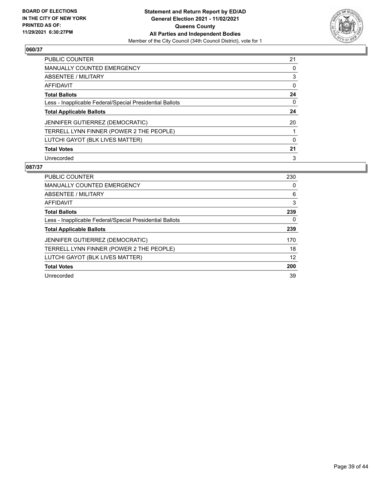

| PUBLIC COUNTER                                           | 21       |
|----------------------------------------------------------|----------|
| MANUALLY COUNTED EMERGENCY                               | 0        |
| ABSENTEE / MILITARY                                      | 3        |
| AFFIDAVIT                                                | 0        |
| <b>Total Ballots</b>                                     | 24       |
| Less - Inapplicable Federal/Special Presidential Ballots | 0        |
| <b>Total Applicable Ballots</b>                          | 24       |
| JENNIFER GUTIERREZ (DEMOCRATIC)                          | 20       |
| TERRELL LYNN FINNER (POWER 2 THE PEOPLE)                 |          |
| LUTCHI GAYOT (BLK LIVES MATTER)                          | $\Omega$ |
| <b>Total Votes</b>                                       | 21       |
| Unrecorded                                               | 3        |

| <b>PUBLIC COUNTER</b>                                    | 230 |
|----------------------------------------------------------|-----|
| MANUALLY COUNTED EMERGENCY                               | 0   |
| ABSENTEE / MILITARY                                      | 6   |
| AFFIDAVIT                                                | 3   |
| <b>Total Ballots</b>                                     | 239 |
| Less - Inapplicable Federal/Special Presidential Ballots | 0   |
| <b>Total Applicable Ballots</b>                          | 239 |
| <b>JENNIFER GUTIERREZ (DEMOCRATIC)</b>                   | 170 |
| TERRELL LYNN FINNER (POWER 2 THE PEOPLE)                 | 18  |
| LUTCHI GAYOT (BLK LIVES MATTER)                          | 12  |
| <b>Total Votes</b>                                       | 200 |
| Unrecorded                                               | 39  |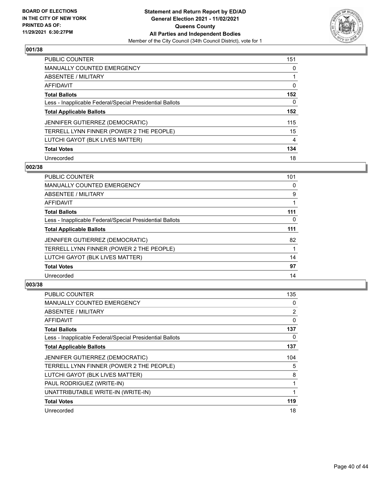

| PUBLIC COUNTER                                           | 151            |
|----------------------------------------------------------|----------------|
| <b>MANUALLY COUNTED EMERGENCY</b>                        | 0              |
| ABSENTEE / MILITARY                                      |                |
| AFFIDAVIT                                                | 0              |
| <b>Total Ballots</b>                                     | 152            |
| Less - Inapplicable Federal/Special Presidential Ballots | $\Omega$       |
| <b>Total Applicable Ballots</b>                          | 152            |
| JENNIFER GUTIERREZ (DEMOCRATIC)                          | 115            |
| TERRELL LYNN FINNER (POWER 2 THE PEOPLE)                 | 15             |
| LUTCHI GAYOT (BLK LIVES MATTER)                          | $\overline{4}$ |
| <b>Total Votes</b>                                       | 134            |
| Unrecorded                                               | 18             |

#### **002/38**

| <b>PUBLIC COUNTER</b>                                    | 101      |
|----------------------------------------------------------|----------|
| <b>MANUALLY COUNTED EMERGENCY</b>                        | 0        |
| ABSENTEE / MILITARY                                      | 9        |
| <b>AFFIDAVIT</b>                                         |          |
| <b>Total Ballots</b>                                     | 111      |
| Less - Inapplicable Federal/Special Presidential Ballots | $\Omega$ |
| <b>Total Applicable Ballots</b>                          | 111      |
| JENNIFER GUTIERREZ (DEMOCRATIC)                          | 82       |
| TERRELL LYNN FINNER (POWER 2 THE PEOPLE)                 |          |
| LUTCHI GAYOT (BLK LIVES MATTER)                          | 14       |
| <b>Total Votes</b>                                       | 97       |
| Unrecorded                                               | 14       |

| <b>PUBLIC COUNTER</b>                                    | 135 |
|----------------------------------------------------------|-----|
| <b>MANUALLY COUNTED EMERGENCY</b>                        | 0   |
| ABSENTEE / MILITARY                                      | 2   |
| AFFIDAVIT                                                | 0   |
| <b>Total Ballots</b>                                     | 137 |
| Less - Inapplicable Federal/Special Presidential Ballots | 0   |
| <b>Total Applicable Ballots</b>                          | 137 |
| <b>JENNIFER GUTIERREZ (DEMOCRATIC)</b>                   | 104 |
| TERRELL LYNN FINNER (POWER 2 THE PEOPLE)                 | 5   |
| LUTCHI GAYOT (BLK LIVES MATTER)                          | 8   |
| PAUL RODRIGUEZ (WRITE-IN)                                |     |
| UNATTRIBUTABLE WRITE-IN (WRITE-IN)                       | 1   |
| <b>Total Votes</b>                                       | 119 |
| Unrecorded                                               | 18  |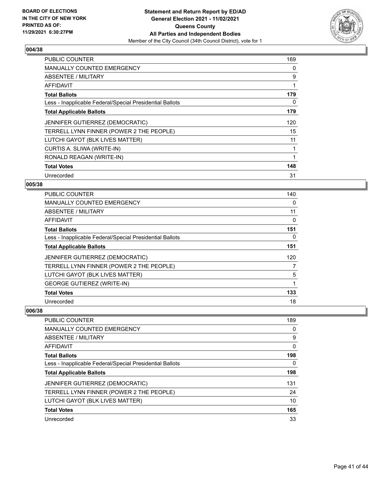

| <b>PUBLIC COUNTER</b>                                    | 169 |
|----------------------------------------------------------|-----|
| <b>MANUALLY COUNTED EMERGENCY</b>                        | 0   |
| <b>ABSENTEE / MILITARY</b>                               | 9   |
| <b>AFFIDAVIT</b>                                         | 1   |
| <b>Total Ballots</b>                                     | 179 |
| Less - Inapplicable Federal/Special Presidential Ballots | 0   |
| <b>Total Applicable Ballots</b>                          | 179 |
| JENNIFER GUTIERREZ (DEMOCRATIC)                          | 120 |
| TERRELL LYNN FINNER (POWER 2 THE PEOPLE)                 | 15  |
| LUTCHI GAYOT (BLK LIVES MATTER)                          | 11  |
| CURTIS A. SLIWA (WRITE-IN)                               | 1   |
| RONALD REAGAN (WRITE-IN)                                 | 1   |
| <b>Total Votes</b>                                       | 148 |
| Unrecorded                                               | 31  |

## **005/38**

| PUBLIC COUNTER                                           | 140 |
|----------------------------------------------------------|-----|
| <b>MANUALLY COUNTED EMERGENCY</b>                        | 0   |
| ABSENTEE / MILITARY                                      | 11  |
| AFFIDAVIT                                                | 0   |
| <b>Total Ballots</b>                                     | 151 |
| Less - Inapplicable Federal/Special Presidential Ballots | 0   |
| <b>Total Applicable Ballots</b>                          | 151 |
| JENNIFER GUTIERREZ (DEMOCRATIC)                          | 120 |
| TERRELL LYNN FINNER (POWER 2 THE PEOPLE)                 | 7   |
| LUTCHI GAYOT (BLK LIVES MATTER)                          | 5   |
| <b>GEORGE GUTIEREZ (WRITE-IN)</b>                        | 1   |
| <b>Total Votes</b>                                       | 133 |
| Unrecorded                                               | 18  |

| PUBLIC COUNTER                                           | 189      |
|----------------------------------------------------------|----------|
| <b>MANUALLY COUNTED EMERGENCY</b>                        | 0        |
| ABSENTEE / MILITARY                                      | 9        |
| AFFIDAVIT                                                | $\Omega$ |
| <b>Total Ballots</b>                                     | 198      |
| Less - Inapplicable Federal/Special Presidential Ballots | 0        |
| <b>Total Applicable Ballots</b>                          | 198      |
| <b>JENNIFER GUTIERREZ (DEMOCRATIC)</b>                   | 131      |
| TERRELL LYNN FINNER (POWER 2 THE PEOPLE)                 | 24       |
| LUTCHI GAYOT (BLK LIVES MATTER)                          | 10       |
| <b>Total Votes</b>                                       | 165      |
| Unrecorded                                               | 33       |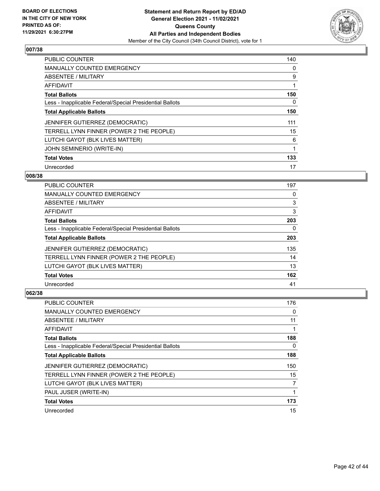

| <b>PUBLIC COUNTER</b>                                    | 140 |
|----------------------------------------------------------|-----|
| <b>MANUALLY COUNTED EMERGENCY</b>                        | 0   |
| ABSENTEE / MILITARY                                      | 9   |
| AFFIDAVIT                                                | 1   |
| <b>Total Ballots</b>                                     | 150 |
| Less - Inapplicable Federal/Special Presidential Ballots | 0   |
| <b>Total Applicable Ballots</b>                          | 150 |
| JENNIFER GUTIERREZ (DEMOCRATIC)                          | 111 |
| TERRELL LYNN FINNER (POWER 2 THE PEOPLE)                 | 15  |
| LUTCHI GAYOT (BLK LIVES MATTER)                          | 6   |
| JOHN SEMINERIO (WRITE-IN)                                |     |
| <b>Total Votes</b>                                       | 133 |
| Unrecorded                                               | 17  |

#### **008/38**

| <b>PUBLIC COUNTER</b>                                    | 197 |
|----------------------------------------------------------|-----|
| <b>MANUALLY COUNTED EMERGENCY</b>                        | 0   |
| ABSENTEE / MILITARY                                      | 3   |
| <b>AFFIDAVIT</b>                                         | 3   |
| <b>Total Ballots</b>                                     | 203 |
| Less - Inapplicable Federal/Special Presidential Ballots | 0   |
| <b>Total Applicable Ballots</b>                          | 203 |
| <b>JENNIFER GUTIERREZ (DEMOCRATIC)</b>                   | 135 |
| TERRELL LYNN FINNER (POWER 2 THE PEOPLE)                 | 14  |
| LUTCHI GAYOT (BLK LIVES MATTER)                          | 13  |
| <b>Total Votes</b>                                       | 162 |
| Unrecorded                                               | 41  |

| <b>PUBLIC COUNTER</b>                                    | 176      |
|----------------------------------------------------------|----------|
| MANUALLY COUNTED EMERGENCY                               | 0        |
| ABSENTEE / MILITARY                                      | 11       |
| AFFIDAVIT                                                |          |
| <b>Total Ballots</b>                                     | 188      |
| Less - Inapplicable Federal/Special Presidential Ballots | $\Omega$ |
| <b>Total Applicable Ballots</b>                          | 188      |
| JENNIFER GUTIERREZ (DEMOCRATIC)                          | 150      |
| TERRELL LYNN FINNER (POWER 2 THE PEOPLE)                 | 15       |
| LUTCHI GAYOT (BLK LIVES MATTER)                          | 7        |
| PAUL JUSER (WRITE-IN)                                    |          |
| <b>Total Votes</b>                                       | 173      |
| Unrecorded                                               | 15       |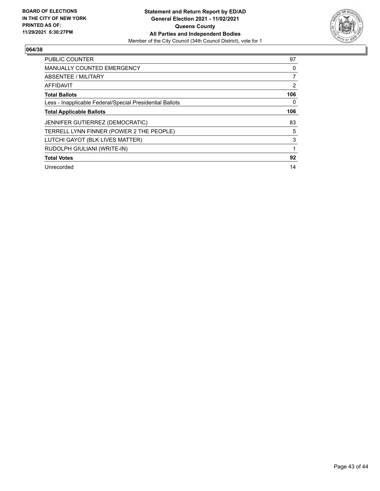

| PUBLIC COUNTER                                           | 97       |
|----------------------------------------------------------|----------|
| <b>MANUALLY COUNTED EMERGENCY</b>                        | 0        |
| ABSENTEE / MILITARY                                      | 7        |
| <b>AFFIDAVIT</b>                                         | 2        |
| <b>Total Ballots</b>                                     | 106      |
| Less - Inapplicable Federal/Special Presidential Ballots | $\Omega$ |
| <b>Total Applicable Ballots</b>                          | 106      |
| <b>JENNIFER GUTIERREZ (DEMOCRATIC)</b>                   | 83       |
| TERRELL LYNN FINNER (POWER 2 THE PEOPLE)                 | 5        |
| LUTCHI GAYOT (BLK LIVES MATTER)                          | 3        |
| RUDOLPH GIULIANI (WRITE-IN)                              | 1        |
| <b>Total Votes</b>                                       | 92       |
| Unrecorded                                               | 14       |